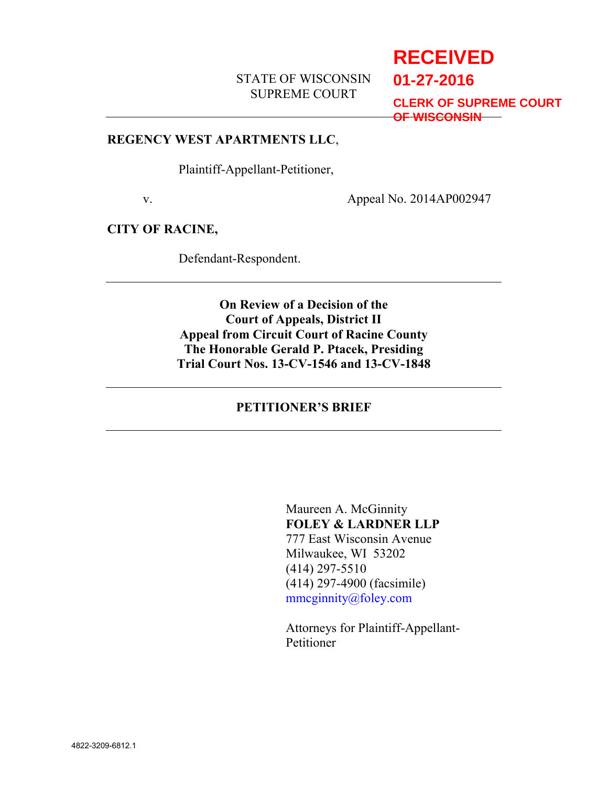# STATE OF WISCONSIN SUPREME COURT

# **RECEIVED**

**01-27-2016**

**CLERK OF SUPREME COURT OF WISCONSIN**

#### **REGENCY WEST APARTMENTS LLC**,

Plaintiff-Appellant-Petitioner,

v. Appeal No. 2014AP002947

## **CITY OF RACINE,**

Defendant-Respondent.

**On Review of a Decision of the Court of Appeals, District II Appeal from Circuit Court of Racine County The Honorable Gerald P. Ptacek, Presiding Trial Court Nos. 13-CV-1546 and 13-CV-1848**

## **PETITIONER'S BRIEF**

Maureen A. McGinnity **FOLEY & LARDNER LLP** 777 East Wisconsin Avenue Milwaukee, WI 53202 (414) 297-5510 (414) 297-4900 (facsimile) mmcginnity@foley.com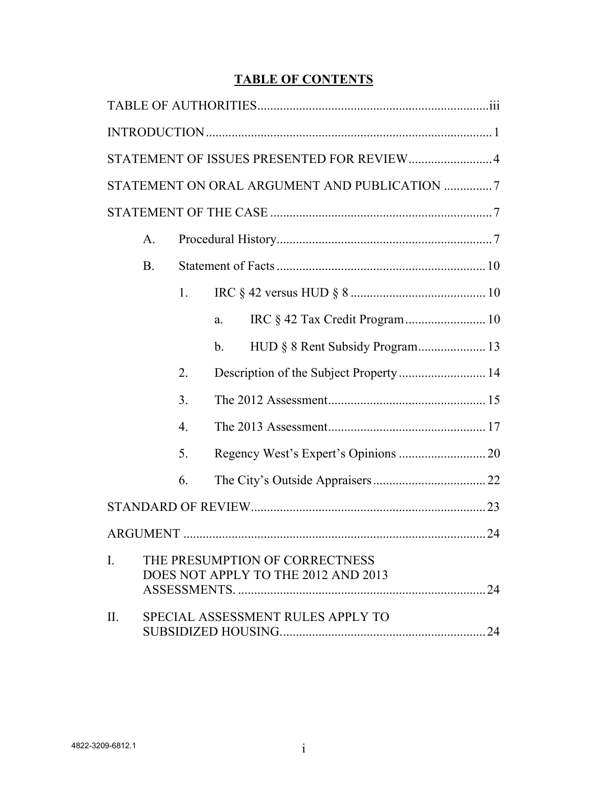# **TABLE OF CONTENTS**

| STATEMENT OF ISSUES PRESENTED FOR REVIEW 4                                              |                                   |                  |                                       |  |
|-----------------------------------------------------------------------------------------|-----------------------------------|------------------|---------------------------------------|--|
| STATEMENT ON ORAL ARGUMENT AND PUBLICATION 7                                            |                                   |                  |                                       |  |
|                                                                                         |                                   |                  |                                       |  |
|                                                                                         | A.                                |                  |                                       |  |
|                                                                                         | B.                                |                  |                                       |  |
|                                                                                         |                                   | 1.               |                                       |  |
|                                                                                         |                                   |                  | IRC § 42 Tax Credit Program  10<br>a. |  |
|                                                                                         |                                   |                  | $b_{\cdot}$                           |  |
|                                                                                         |                                   | 2.               |                                       |  |
|                                                                                         |                                   | 3.               |                                       |  |
|                                                                                         |                                   | $\overline{4}$ . |                                       |  |
|                                                                                         |                                   | 5.               |                                       |  |
|                                                                                         |                                   | 6.               |                                       |  |
|                                                                                         |                                   |                  |                                       |  |
|                                                                                         |                                   |                  |                                       |  |
| THE PRESUMPTION OF CORRECTNESS<br>$\mathbf{I}$ .<br>DOES NOT APPLY TO THE 2012 AND 2013 |                                   |                  |                                       |  |
|                                                                                         |                                   |                  |                                       |  |
| II.                                                                                     | SPECIAL ASSESSMENT RULES APPLY TO |                  |                                       |  |
|                                                                                         |                                   |                  |                                       |  |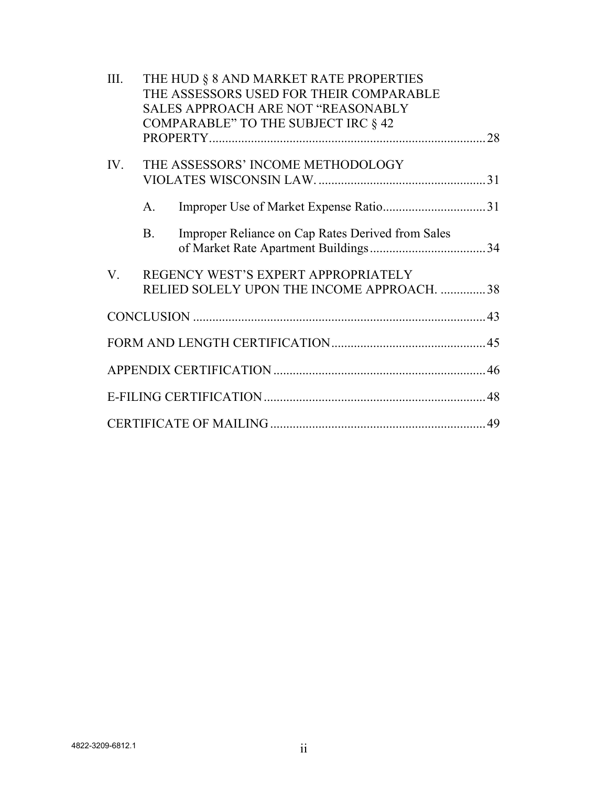| III.        |         | THE HUD § 8 AND MARKET RATE PROPERTIES<br>THE ASSESSORS USED FOR THEIR COMPARABLE<br>SALES APPROACH ARE NOT "REASONABLY |  |
|-------------|---------|-------------------------------------------------------------------------------------------------------------------------|--|
|             |         | COMPARABLE" TO THE SUBJECT IRC § 42                                                                                     |  |
| IV.         |         | THE ASSESSORS' INCOME METHODOLOGY                                                                                       |  |
|             | A.      |                                                                                                                         |  |
|             | $B_{-}$ | Improper Reliance on Cap Rates Derived from Sales                                                                       |  |
| $V_{\cdot}$ |         | REGENCY WEST'S EXPERT APPROPRIATELY<br>RELIED SOLELY UPON THE INCOME APPROACH. 38                                       |  |
|             |         |                                                                                                                         |  |
|             |         |                                                                                                                         |  |
|             |         |                                                                                                                         |  |
|             |         |                                                                                                                         |  |
|             |         |                                                                                                                         |  |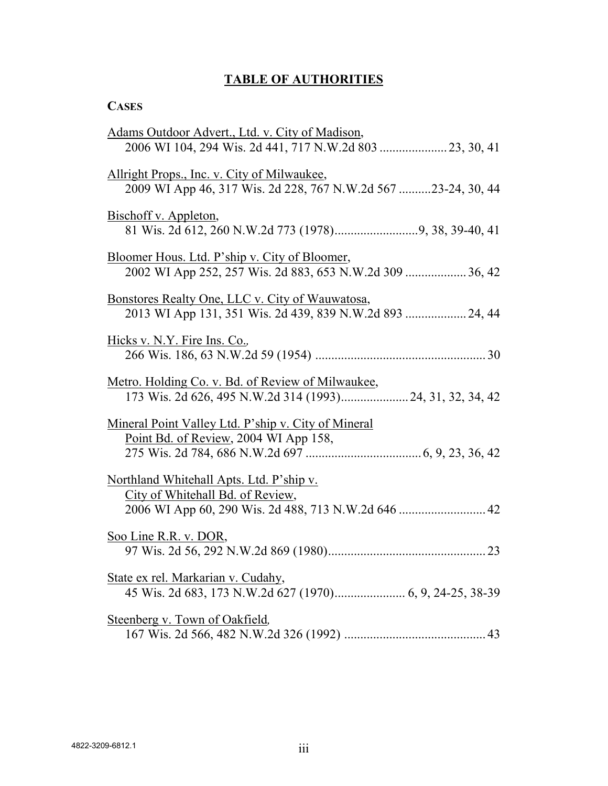# **TABLE OF AUTHORITIES**

# **CASES**

| Adams Outdoor Advert., Ltd. v. City of Madison,                                                                     |
|---------------------------------------------------------------------------------------------------------------------|
| 2006 WI 104, 294 Wis. 2d 441, 717 N.W.2d 803  23, 30, 41                                                            |
| <u>Allright Props., Inc. v. City of Milwaukee,</u><br>2009 WI App 46, 317 Wis. 2d 228, 767 N.W.2d 567 23-24, 30, 44 |
| Bischoff v. Appleton,                                                                                               |
| Bloomer Hous. Ltd. P'ship v. City of Bloomer,<br>2002 WI App 252, 257 Wis. 2d 883, 653 N.W.2d 309  36, 42           |
| Bonstores Realty One, LLC v. City of Wauwatosa,<br>2013 WI App 131, 351 Wis. 2d 439, 839 N.W.2d 893  24, 44         |
| Hicks v. N.Y. Fire Ins. Co.,                                                                                        |
| Metro. Holding Co. v. Bd. of Review of Milwaukee,<br>173 Wis. 2d 626, 495 N.W.2d 314 (1993) 24, 31, 32, 34, 42      |
| Mineral Point Valley Ltd. P'ship v. City of Mineral<br>Point Bd. of Review, 2004 WI App 158,                        |
| Northland Whitehall Apts. Ltd. P'ship v.<br>City of Whitehall Bd. of Review,                                        |
| Soo Line R.R. v. DOR,                                                                                               |
| State ex rel. Markarian v. Cudahy,                                                                                  |
| Steenberg v. Town of Oakfield,                                                                                      |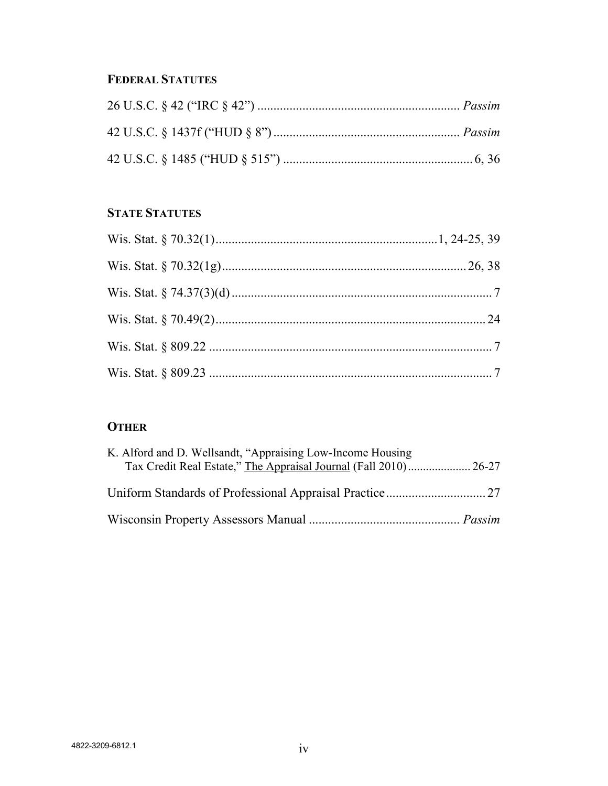# **FEDERAL STATUTES**

# **STATE STATUTES**

# **OTHER**

| K. Alford and D. Wellsandt, "Appraising Low-Income Housing |  |
|------------------------------------------------------------|--|
|                                                            |  |
|                                                            |  |
|                                                            |  |
|                                                            |  |
|                                                            |  |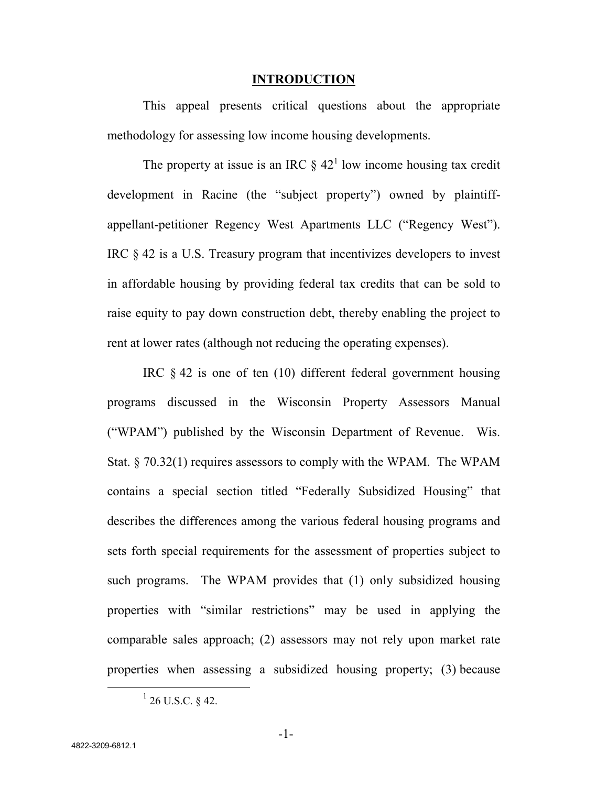#### **INTRODUCTION**

This appeal presents critical questions about the appropriate methodology for assessing low income housing developments.

The property at issue is an IRC  $\S 42<sup>1</sup>$  low income housing tax credit development in Racine (the "subject property") owned by plaintiffappellant-petitioner Regency West Apartments LLC ("Regency West"). IRC § 42 is a U.S. Treasury program that incentivizes developers to invest in affordable housing by providing federal tax credits that can be sold to raise equity to pay down construction debt, thereby enabling the project to rent at lower rates (although not reducing the operating expenses).

IRC § 42 is one of ten (10) different federal government housing programs discussed in the Wisconsin Property Assessors Manual ("WPAM") published by the Wisconsin Department of Revenue. Wis. Stat. § 70.32(1) requires assessors to comply with the WPAM. The WPAM contains a special section titled "Federally Subsidized Housing" that describes the differences among the various federal housing programs and sets forth special requirements for the assessment of properties subject to such programs. The WPAM provides that (1) only subsidized housing properties with "similar restrictions" may be used in applying the comparable sales approach; (2) assessors may not rely upon market rate properties when assessing a subsidized housing property; (3) because

 $^{1}$  26 U.S.C. § 42.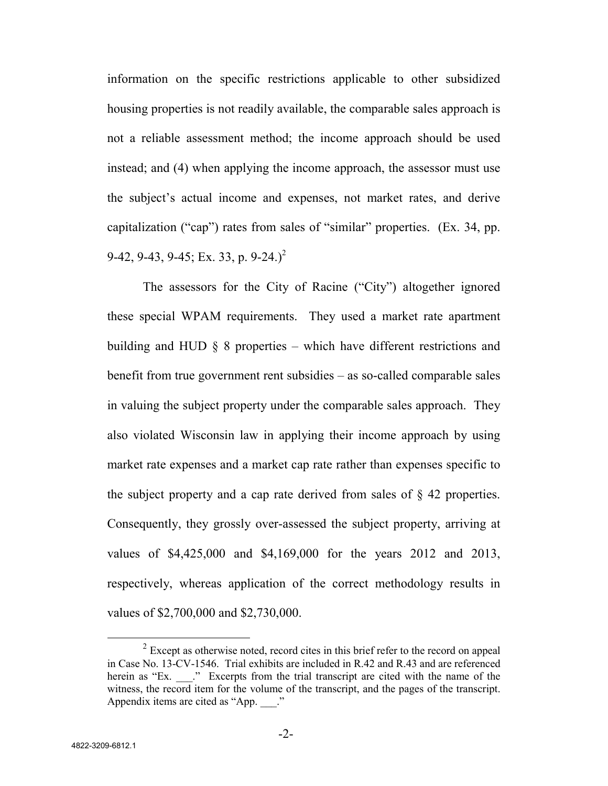information on the specific restrictions applicable to other subsidized housing properties is not readily available, the comparable sales approach is not a reliable assessment method; the income approach should be used instead; and (4) when applying the income approach, the assessor must use the subject's actual income and expenses, not market rates, and derive capitalization ("cap") rates from sales of "similar" properties. (Ex. 34, pp. 9-42, 9-43, 9-45; Ex. 33, p.  $9-24.$ )<sup>2</sup>

The assessors for the City of Racine ("City") altogether ignored these special WPAM requirements. They used a market rate apartment building and HUD  $\S$  8 properties – which have different restrictions and benefit from true government rent subsidies – as so-called comparable sales in valuing the subject property under the comparable sales approach. They also violated Wisconsin law in applying their income approach by using market rate expenses and a market cap rate rather than expenses specific to the subject property and a cap rate derived from sales of § 42 properties. Consequently, they grossly over-assessed the subject property, arriving at values of \$4,425,000 and \$4,169,000 for the years 2012 and 2013, respectively, whereas application of the correct methodology results in values of \$2,700,000 and \$2,730,000.

 $2^{2}$  Except as otherwise noted, record cites in this brief refer to the record on appeal in Case No. 13-CV-1546. Trial exhibits are included in R.42 and R.43 and are referenced herein as "Ex. \_\_\_." Excerpts from the trial transcript are cited with the name of the witness, the record item for the volume of the transcript, and the pages of the transcript. Appendix items are cited as "App.  $\therefore$ "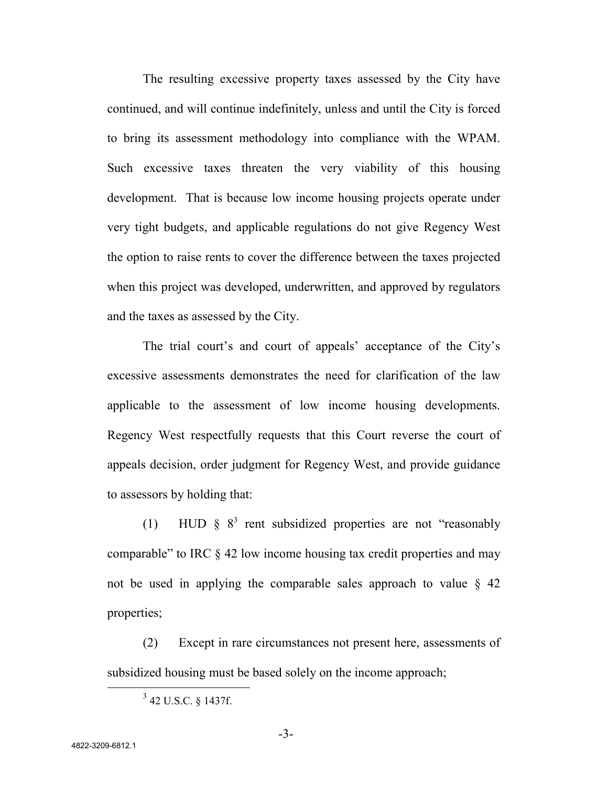The resulting excessive property taxes assessed by the City have continued, and will continue indefinitely, unless and until the City is forced to bring its assessment methodology into compliance with the WPAM. Such excessive taxes threaten the very viability of this housing development. That is because low income housing projects operate under very tight budgets, and applicable regulations do not give Regency West the option to raise rents to cover the difference between the taxes projected when this project was developed, underwritten, and approved by regulators and the taxes as assessed by the City.

The trial court's and court of appeals' acceptance of the City's excessive assessments demonstrates the need for clarification of the law applicable to the assessment of low income housing developments. Regency West respectfully requests that this Court reverse the court of appeals decision, order judgment for Regency West, and provide guidance to assessors by holding that:

(1) HUD  $\S$   $8^3$  rent subsidized properties are not "reasonably comparable" to IRC § 42 low income housing tax credit properties and may not be used in applying the comparable sales approach to value § 42 properties;

(2) Except in rare circumstances not present here, assessments of subsidized housing must be based solely on the income approach;

<sup>&</sup>lt;sup>3</sup> 42 U.S.C. § 1437f.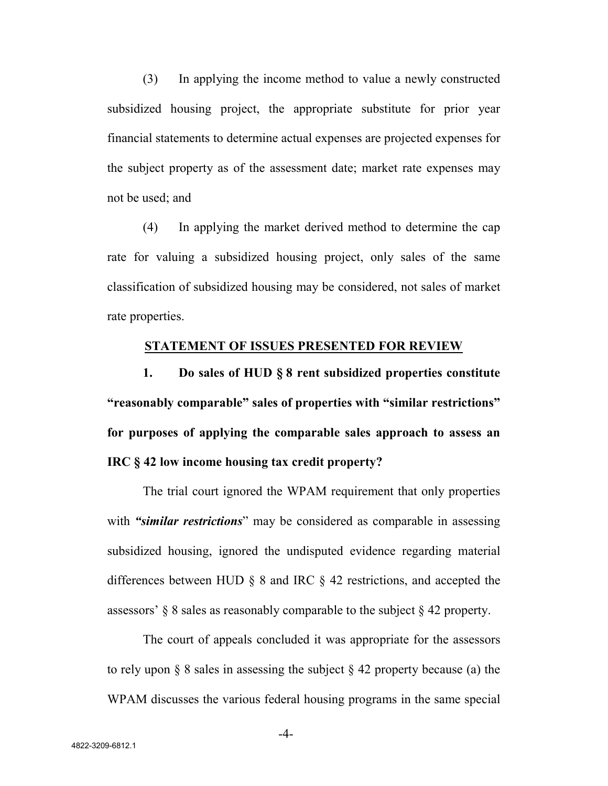(3) In applying the income method to value a newly constructed subsidized housing project, the appropriate substitute for prior year financial statements to determine actual expenses are projected expenses for the subject property as of the assessment date; market rate expenses may not be used; and

(4) In applying the market derived method to determine the cap rate for valuing a subsidized housing project, only sales of the same classification of subsidized housing may be considered, not sales of market rate properties.

#### **STATEMENT OF ISSUES PRESENTED FOR REVIEW**

**1. Do sales of HUD § 8 rent subsidized properties constitute "reasonably comparable" sales of properties with "similar restrictions" for purposes of applying the comparable sales approach to assess an IRC § 42 low income housing tax credit property?**

The trial court ignored the WPAM requirement that only properties with *"similar restrictions*" may be considered as comparable in assessing subsidized housing, ignored the undisputed evidence regarding material differences between HUD § 8 and IRC § 42 restrictions, and accepted the assessors' § 8 sales as reasonably comparable to the subject § 42 property.

The court of appeals concluded it was appropriate for the assessors to rely upon  $\S$  8 sales in assessing the subject  $\S$  42 property because (a) the WPAM discusses the various federal housing programs in the same special

-4-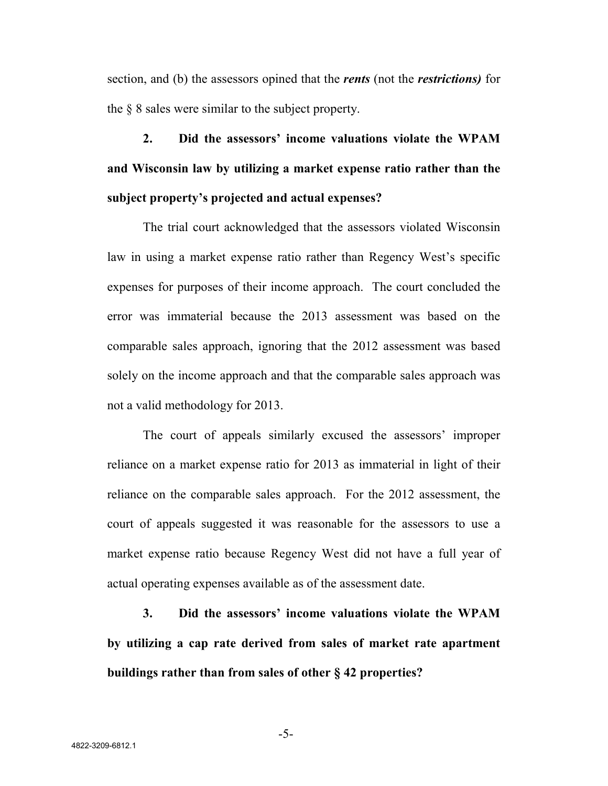section, and (b) the assessors opined that the *rents* (not the *restrictions)* for the § 8 sales were similar to the subject property.

**2. Did the assessors' income valuations violate the WPAM and Wisconsin law by utilizing a market expense ratio rather than the subject property's projected and actual expenses?**

The trial court acknowledged that the assessors violated Wisconsin law in using a market expense ratio rather than Regency West's specific expenses for purposes of their income approach. The court concluded the error was immaterial because the 2013 assessment was based on the comparable sales approach, ignoring that the 2012 assessment was based solely on the income approach and that the comparable sales approach was not a valid methodology for 2013.

The court of appeals similarly excused the assessors' improper reliance on a market expense ratio for 2013 as immaterial in light of their reliance on the comparable sales approach. For the 2012 assessment, the court of appeals suggested it was reasonable for the assessors to use a market expense ratio because Regency West did not have a full year of actual operating expenses available as of the assessment date.

**3. Did the assessors' income valuations violate the WPAM by utilizing a cap rate derived from sales of market rate apartment buildings rather than from sales of other § 42 properties?**

-5-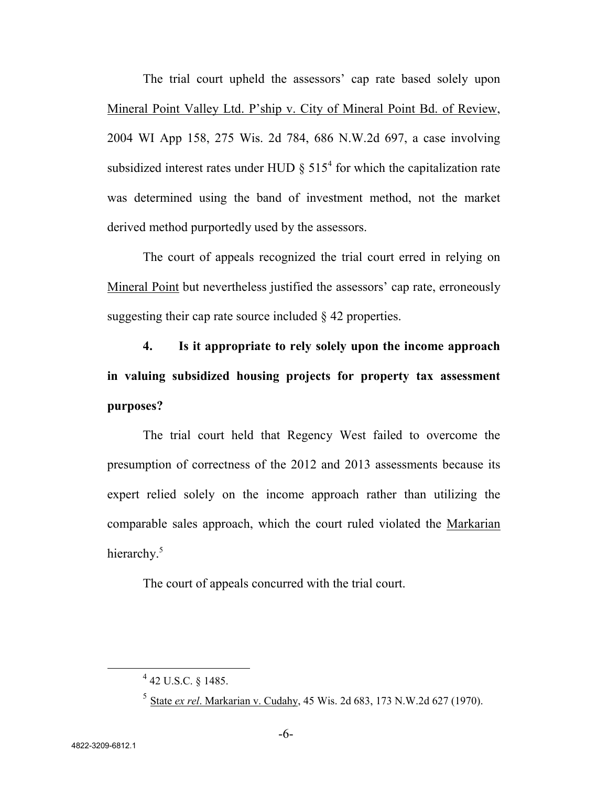The trial court upheld the assessors' cap rate based solely upon Mineral Point Valley Ltd. P'ship v. City of Mineral Point Bd. of Review, 2004 WI App 158, 275 Wis. 2d 784, 686 N.W.2d 697, a case involving subsidized interest rates under HUD  $\S$  515<sup>4</sup> for which the capitalization rate was determined using the band of investment method, not the market derived method purportedly used by the assessors.

The court of appeals recognized the trial court erred in relying on Mineral Point but nevertheless justified the assessors' cap rate, erroneously suggesting their cap rate source included § 42 properties.

**4. Is it appropriate to rely solely upon the income approach in valuing subsidized housing projects for property tax assessment purposes?**

The trial court held that Regency West failed to overcome the presumption of correctness of the 2012 and 2013 assessments because its expert relied solely on the income approach rather than utilizing the comparable sales approach, which the court ruled violated the Markarian hierarchy.<sup>5</sup>

The court of appeals concurred with the trial court.

 $^{4}$  42 U.S.C. § 1485.

<sup>5</sup> State *ex rel*. Markarian v. Cudahy, 45 Wis. 2d 683, 173 N.W.2d 627 (1970).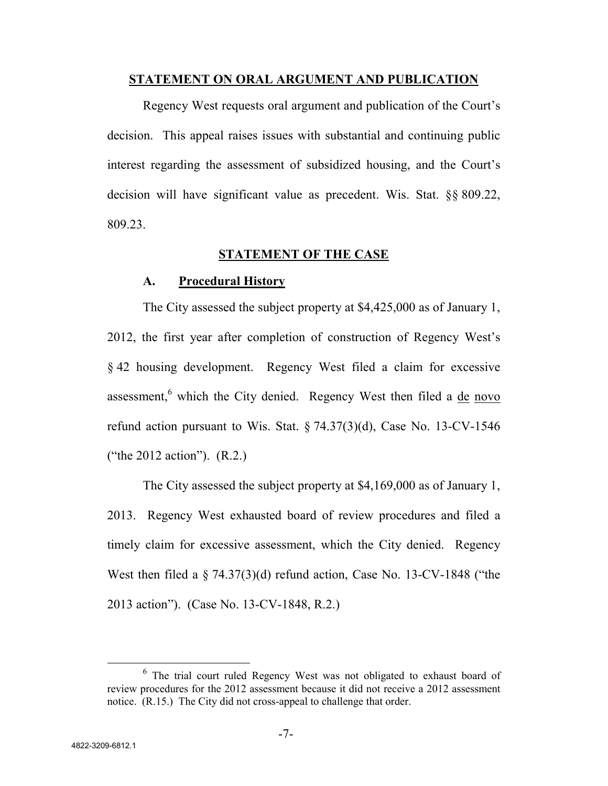#### **STATEMENT ON ORAL ARGUMENT AND PUBLICATION**

Regency West requests oral argument and publication of the Court's decision. This appeal raises issues with substantial and continuing public interest regarding the assessment of subsidized housing, and the Court's decision will have significant value as precedent. Wis. Stat. §§ 809.22, 809.23.

#### **STATEMENT OF THE CASE**

#### **A. Procedural History**

The City assessed the subject property at \$4,425,000 as of January 1, 2012, the first year after completion of construction of Regency West's § 42 housing development. Regency West filed a claim for excessive assessment,<sup>6</sup> which the City denied. Regency West then filed a de novo refund action pursuant to Wis. Stat.  $\S 74.37(3)(d)$ , Case No. 13-CV-1546 ("the 2012 action"). (R.2.)

The City assessed the subject property at \$4,169,000 as of January 1, 2013. Regency West exhausted board of review procedures and filed a timely claim for excessive assessment, which the City denied. Regency West then filed a § 74.37(3)(d) refund action, Case No. 13-CV-1848 ("the 2013 action"). (Case No. 13-CV-1848, R.2.)

<sup>&</sup>lt;sup>6</sup> The trial court ruled Regency West was not obligated to exhaust board of review procedures for the 2012 assessment because it did not receive a 2012 assessment notice. (R.15.) The City did not cross-appeal to challenge that order.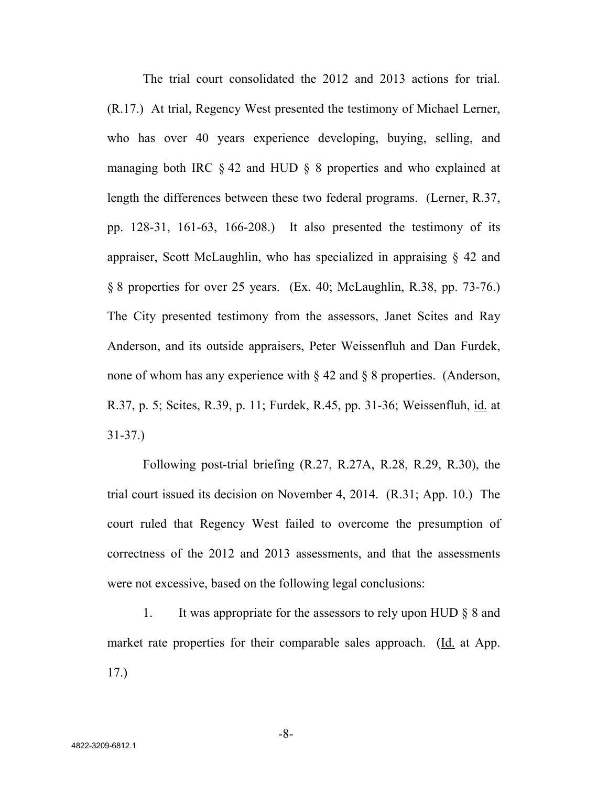The trial court consolidated the 2012 and 2013 actions for trial. (R.17.) At trial, Regency West presented the testimony of Michael Lerner, who has over 40 years experience developing, buying, selling, and managing both IRC § 42 and HUD § 8 properties and who explained at length the differences between these two federal programs. (Lerner, R.37, pp. 128-31, 161-63, 166-208.) It also presented the testimony of its appraiser, Scott McLaughlin, who has specialized in appraising  $\S$  42 and § 8 properties for over 25 years. (Ex. 40; McLaughlin, R.38, pp. 73-76.) The City presented testimony from the assessors, Janet Scites and Ray Anderson, and its outside appraisers, Peter Weissenfluh and Dan Furdek, none of whom has any experience with § 42 and § 8 properties. (Anderson, R.37, p. 5; Scites, R.39, p. 11; Furdek, R.45, pp. 31-36; Weissenfluh, id. at 31-37.)

Following post-trial briefing (R.27, R.27A, R.28, R.29, R.30), the trial court issued its decision on November 4, 2014. (R.31; App. 10.) The court ruled that Regency West failed to overcome the presumption of correctness of the 2012 and 2013 assessments, and that the assessments were not excessive, based on the following legal conclusions:

1. It was appropriate for the assessors to rely upon HUD § 8 and market rate properties for their comparable sales approach. (Id. at App. 17.)

-8-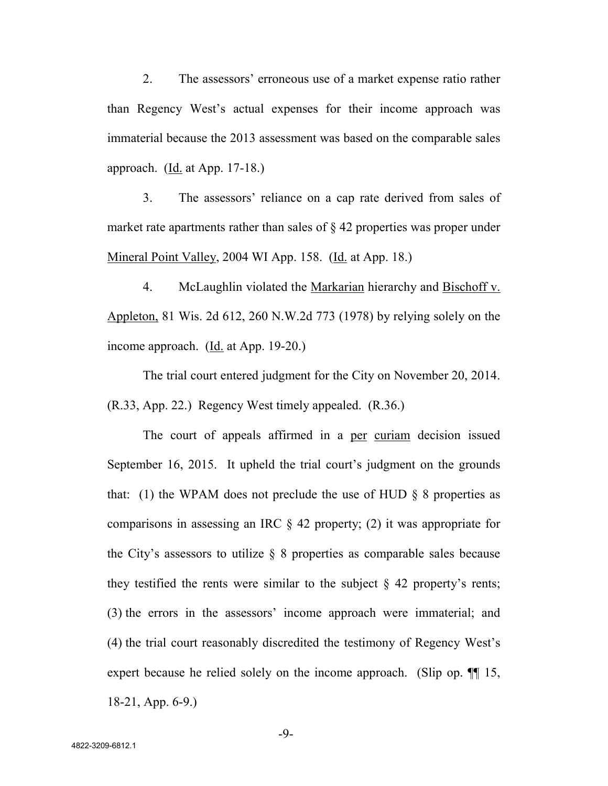2. The assessors' erroneous use of a market expense ratio rather than Regency West's actual expenses for their income approach was immaterial because the 2013 assessment was based on the comparable sales approach. (Id. at App. 17-18.)

3. The assessors' reliance on a cap rate derived from sales of market rate apartments rather than sales of § 42 properties was proper under Mineral Point Valley, 2004 WI App. 158. (Id. at App. 18.)

4. McLaughlin violated the Markarian hierarchy and Bischoff v. Appleton, 81 Wis. 2d 612, 260 N.W.2d 773 (1978) by relying solely on the income approach. (Id. at App. 19-20.)

The trial court entered judgment for the City on November 20, 2014. (R.33, App. 22.) Regency West timely appealed. (R.36.)

The court of appeals affirmed in a per curiam decision issued September 16, 2015. It upheld the trial court's judgment on the grounds that: (1) the WPAM does not preclude the use of HUD  $\S$  8 properties as comparisons in assessing an IRC § 42 property; (2) it was appropriate for the City's assessors to utilize  $\S$  8 properties as comparable sales because they testified the rents were similar to the subject  $\S$  42 property's rents; (3) the errors in the assessors' income approach were immaterial; and (4) the trial court reasonably discredited the testimony of Regency West's expert because he relied solely on the income approach. (Slip op.  $\P$  15, 18-21, App. 6-9.)

-9-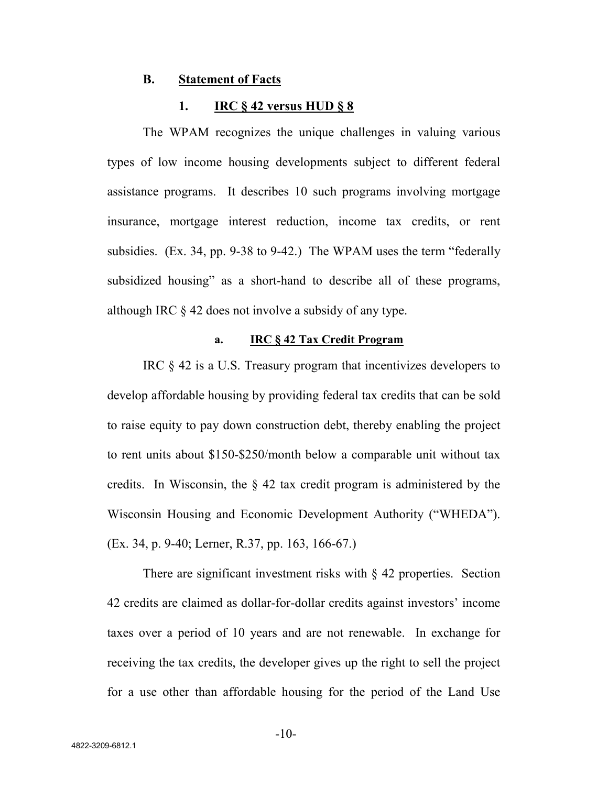#### **B. Statement of Facts**

#### **1. IRC § 42 versus HUD § 8**

The WPAM recognizes the unique challenges in valuing various types of low income housing developments subject to different federal assistance programs. It describes 10 such programs involving mortgage insurance, mortgage interest reduction, income tax credits, or rent subsidies. (Ex. 34, pp. 9-38 to 9-42.) The WPAM uses the term "federally subsidized housing" as a short-hand to describe all of these programs, although IRC § 42 does not involve a subsidy of any type.

#### **a. IRC § 42 Tax Credit Program**

IRC § 42 is a U.S. Treasury program that incentivizes developers to develop affordable housing by providing federal tax credits that can be sold to raise equity to pay down construction debt, thereby enabling the project to rent units about \$150-\$250/month below a comparable unit without tax credits. In Wisconsin, the § 42 tax credit program is administered by the Wisconsin Housing and Economic Development Authority ("WHEDA"). (Ex. 34, p. 9-40; Lerner, R.37, pp. 163, 166-67.)

There are significant investment risks with  $\S$  42 properties. Section 42 credits are claimed as dollar-for-dollar credits against investors' income taxes over a period of 10 years and are not renewable. In exchange for receiving the tax credits, the developer gives up the right to sell the project for a use other than affordable housing for the period of the Land Use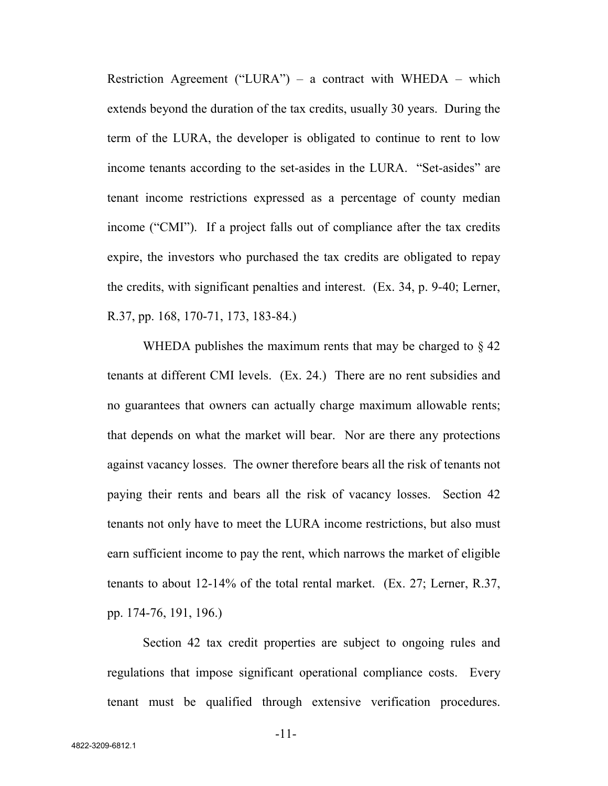Restriction Agreement ("LURA") – a contract with WHEDA – which extends beyond the duration of the tax credits, usually 30 years. During the term of the LURA, the developer is obligated to continue to rent to low income tenants according to the set-asides in the LURA. "Set-asides" are tenant income restrictions expressed as a percentage of county median income ("CMI"). If a project falls out of compliance after the tax credits expire, the investors who purchased the tax credits are obligated to repay the credits, with significant penalties and interest. (Ex. 34, p. 9-40; Lerner, R.37, pp. 168, 170-71, 173, 183-84.)

WHEDA publishes the maximum rents that may be charged to  $\S$  42 tenants at different CMI levels. (Ex. 24.) There are no rent subsidies and no guarantees that owners can actually charge maximum allowable rents; that depends on what the market will bear. Nor are there any protections against vacancy losses. The owner therefore bears all the risk of tenants not paying their rents and bears all the risk of vacancy losses. Section 42 tenants not only have to meet the LURA income restrictions, but also must earn sufficient income to pay the rent, which narrows the market of eligible tenants to about 12-14% of the total rental market. (Ex. 27; Lerner, R.37, pp. 174-76, 191, 196.)

Section 42 tax credit properties are subject to ongoing rules and regulations that impose significant operational compliance costs. Every tenant must be qualified through extensive verification procedures.

-11-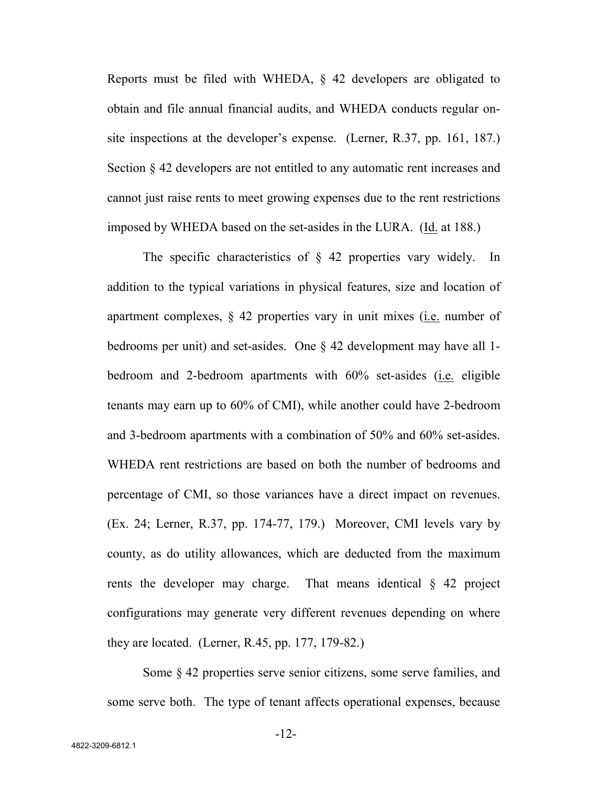Reports must be filed with WHEDA, § 42 developers are obligated to obtain and file annual financial audits, and WHEDA conducts regular onsite inspections at the developer's expense. (Lerner, R.37, pp. 161, 187.) Section § 42 developers are not entitled to any automatic rent increases and cannot just raise rents to meet growing expenses due to the rent restrictions imposed by WHEDA based on the set-asides in the LURA. (Id. at 188.)

The specific characteristics of § 42 properties vary widely. In addition to the typical variations in physical features, size and location of apartment complexes, § 42 properties vary in unit mixes (i.e. number of bedrooms per unit) and set-asides. One § 42 development may have all 1 bedroom and 2-bedroom apartments with 60% set-asides (i.e. eligible tenants may earn up to 60% of CMI), while another could have 2-bedroom and 3-bedroom apartments with a combination of 50% and 60% set-asides. WHEDA rent restrictions are based on both the number of bedrooms and percentage of CMI, so those variances have a direct impact on revenues. (Ex. 24; Lerner, R.37, pp. 174-77, 179.) Moreover, CMI levels vary by county, as do utility allowances, which are deducted from the maximum rents the developer may charge. That means identical § 42 project configurations may generate very different revenues depending on where they are located. (Lerner, R.45, pp. 177, 179-82.)

Some § 42 properties serve senior citizens, some serve families, and some serve both. The type of tenant affects operational expenses, because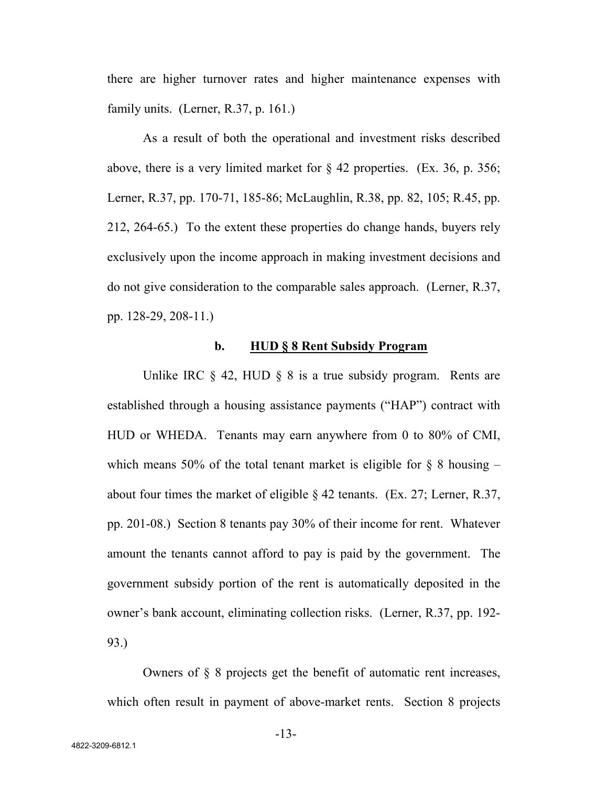there are higher turnover rates and higher maintenance expenses with family units. (Lerner, R.37, p. 161.)

As a result of both the operational and investment risks described above, there is a very limited market for  $\S$  42 properties. (Ex. 36, p. 356; Lerner, R.37, pp. 170-71, 185-86; McLaughlin, R.38, pp. 82, 105; R.45, pp. 212, 264-65.) To the extent these properties do change hands, buyers rely exclusively upon the income approach in making investment decisions and do not give consideration to the comparable sales approach. (Lerner, R.37, pp. 128-29, 208-11.)

#### **b. HUD § 8 Rent Subsidy Program**

Unlike IRC  $\S$  42, HUD  $\S$  8 is a true subsidy program. Rents are established through a housing assistance payments ("HAP") contract with HUD or WHEDA. Tenants may earn anywhere from 0 to 80% of CMI, which means 50% of the total tenant market is eligible for  $\S$  8 housing – about four times the market of eligible  $\S$  42 tenants. (Ex. 27; Lerner, R.37, pp. 201-08.) Section 8 tenants pay 30% of their income for rent. Whatever amount the tenants cannot afford to pay is paid by the government. The government subsidy portion of the rent is automatically deposited in the owner's bank account, eliminating collection risks. (Lerner, R.37, pp. 192- 93.)

Owners of § 8 projects get the benefit of automatic rent increases, which often result in payment of above-market rents. Section 8 projects

-13-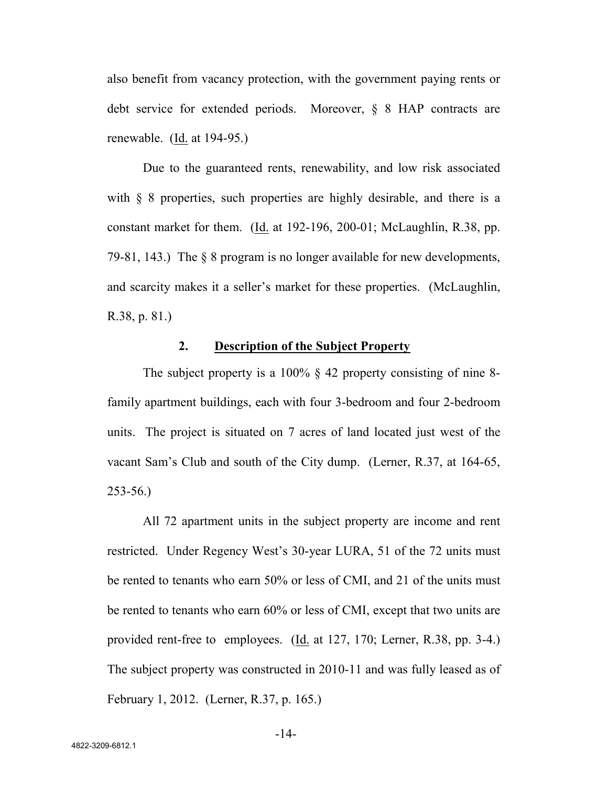also benefit from vacancy protection, with the government paying rents or debt service for extended periods. Moreover, § 8 HAP contracts are renewable. (Id. at 194-95.)

Due to the guaranteed rents, renewability, and low risk associated with  $\S$  8 properties, such properties are highly desirable, and there is a constant market for them. (Id. at 192-196, 200-01; McLaughlin, R.38, pp. 79-81, 143.) The § 8 program is no longer available for new developments, and scarcity makes it a seller's market for these properties. (McLaughlin, R.38, p. 81.)

# **2. Description of the Subject Property**

The subject property is a 100% § 42 property consisting of nine 8family apartment buildings, each with four 3-bedroom and four 2-bedroom units. The project is situated on 7 acres of land located just west of the vacant Sam's Club and south of the City dump. (Lerner, R.37, at 164-65, 253-56.)

All 72 apartment units in the subject property are income and rent restricted. Under Regency West's 30-year LURA, 51 of the 72 units must be rented to tenants who earn 50% or less of CMI, and 21 of the units must be rented to tenants who earn 60% or less of CMI, except that two units are provided rent-free to employees. (Id. at 127, 170; Lerner, R.38, pp. 3-4.) The subject property was constructed in 2010-11 and was fully leased as of February 1, 2012. (Lerner, R.37, p. 165.)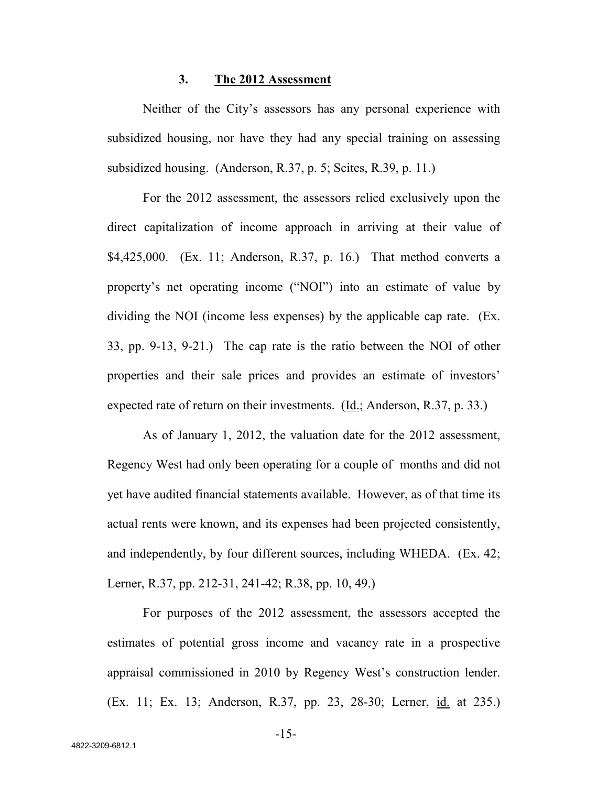#### **3. The 2012 Assessment**

Neither of the City's assessors has any personal experience with subsidized housing, nor have they had any special training on assessing subsidized housing. (Anderson, R.37, p. 5; Scites, R.39, p. 11.)

For the 2012 assessment, the assessors relied exclusively upon the direct capitalization of income approach in arriving at their value of \$4,425,000. (Ex. 11; Anderson, R.37, p. 16.) That method converts a property's net operating income ("NOI") into an estimate of value by dividing the NOI (income less expenses) by the applicable cap rate. (Ex. 33, pp. 9-13, 9-21.) The cap rate is the ratio between the NOI of other properties and their sale prices and provides an estimate of investors' expected rate of return on their investments. (Id.; Anderson, R.37, p. 33.)

As of January 1, 2012, the valuation date for the 2012 assessment, Regency West had only been operating for a couple of months and did not yet have audited financial statements available. However, as of that time its actual rents were known, and its expenses had been projected consistently, and independently, by four different sources, including WHEDA. (Ex. 42; Lerner, R.37, pp. 212-31, 241-42; R.38, pp. 10, 49.)

For purposes of the 2012 assessment, the assessors accepted the estimates of potential gross income and vacancy rate in a prospective appraisal commissioned in 2010 by Regency West's construction lender. (Ex. 11; Ex. 13; Anderson, R.37, pp. 23, 28-30; Lerner, id. at 235.)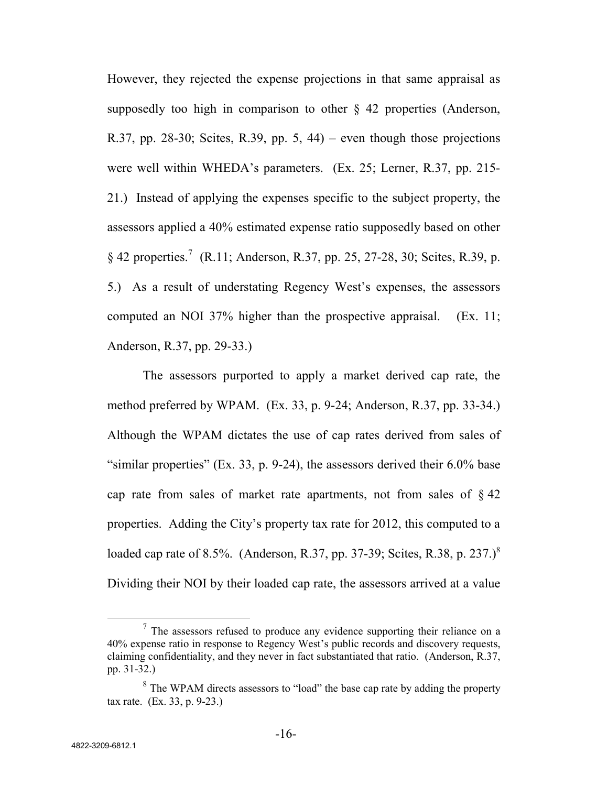However, they rejected the expense projections in that same appraisal as supposedly too high in comparison to other  $\S$  42 properties (Anderson, R.37, pp. 28-30; Scites, R.39, pp. 5, 44) – even though those projections were well within WHEDA's parameters. (Ex. 25; Lerner, R.37, pp. 215- 21.) Instead of applying the expenses specific to the subject property, the assessors applied a 40% estimated expense ratio supposedly based on other § 42 properties.<sup>7</sup> (R.11; Anderson, R.37, pp. 25, 27-28, 30; Scites, R.39, p. 5.) As a result of understating Regency West's expenses, the assessors computed an NOI 37% higher than the prospective appraisal. (Ex. 11; Anderson, R.37, pp. 29-33.)

The assessors purported to apply a market derived cap rate, the method preferred by WPAM. (Ex. 33, p. 9-24; Anderson, R.37, pp. 33-34.) Although the WPAM dictates the use of cap rates derived from sales of "similar properties" (Ex. 33, p. 9-24), the assessors derived their  $6.0\%$  base cap rate from sales of market rate apartments, not from sales of  $\S 42$ properties. Adding the City's property tax rate for 2012, this computed to a loaded cap rate of 8.5%. (Anderson, R.37, pp. 37-39; Scites, R.38, p. 237.)<sup>8</sup> Dividing their NOI by their loaded cap rate, the assessors arrived at a value

 $7$  The assessors refused to produce any evidence supporting their reliance on a 40% expense ratio in response to Regency West's public records and discovery requests, claiming confidentiality, and they never in fact substantiated that ratio. (Anderson, R.37, pp. 31-32.)

 $8$  The WPAM directs assessors to "load" the base cap rate by adding the property tax rate. (Ex. 33, p. 9-23.)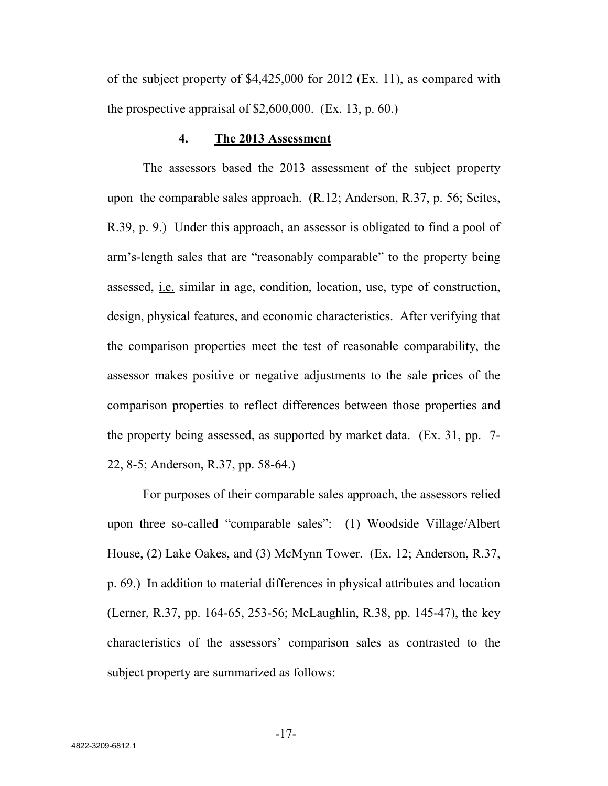of the subject property of \$4,425,000 for 2012 (Ex. 11), as compared with the prospective appraisal of  $$2,600,000$ . (Ex. 13, p. 60.)

## **4. The 2013 Assessment**

The assessors based the 2013 assessment of the subject property upon the comparable sales approach. (R.12; Anderson, R.37, p. 56; Scites, R.39, p. 9.) Under this approach, an assessor is obligated to find a pool of arm's-length sales that are "reasonably comparable" to the property being assessed, i.e. similar in age, condition, location, use, type of construction, design, physical features, and economic characteristics. After verifying that the comparison properties meet the test of reasonable comparability, the assessor makes positive or negative adjustments to the sale prices of the comparison properties to reflect differences between those properties and the property being assessed, as supported by market data. (Ex. 31, pp. 7- 22, 8-5; Anderson, R.37, pp. 58-64.)

For purposes of their comparable sales approach, the assessors relied upon three so-called "comparable sales": (1) Woodside Village/Albert House, (2) Lake Oakes, and (3) McMynn Tower. (Ex. 12; Anderson, R.37, p. 69.) In addition to material differences in physical attributes and location (Lerner, R.37, pp. 164-65, 253-56; McLaughlin, R.38, pp. 145-47), the key characteristics of the assessors' comparison sales as contrasted to the subject property are summarized as follows:

-17-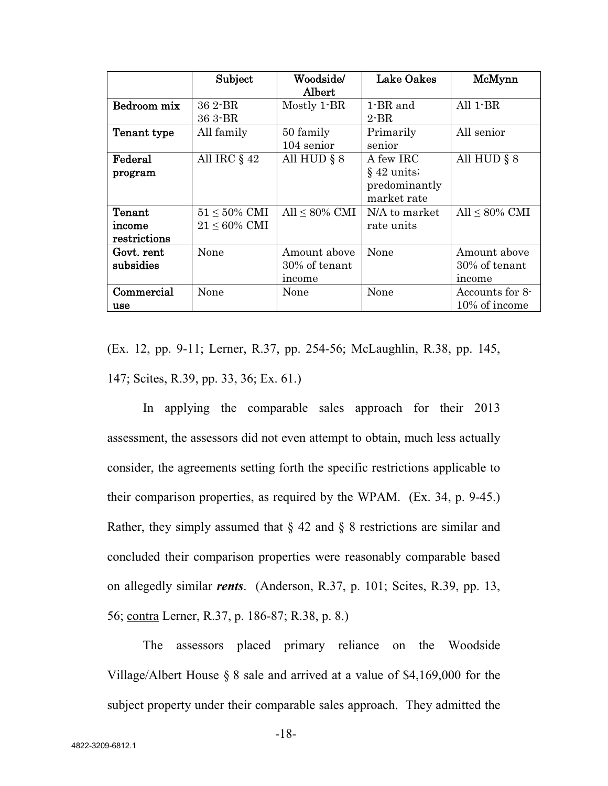|              | Subject            | Woodside/           | <b>Lake Oakes</b> | McMynn              |
|--------------|--------------------|---------------------|-------------------|---------------------|
|              |                    | Albert              |                   |                     |
| Bedroom mix  | 36 2-BR            | Mostly 1-BR         | 1-BR and          | All $1-BR$          |
|              | 36 3-BR            |                     | $2$ -BR           |                     |
| Tenant type  | All family         | 50 family           | Primarily         | All senior          |
|              |                    | 104 senior          | senior            |                     |
| Federal      | All IRC $\S$ 42    | All HUD $\S 8$      | A few IRC         | All HUD $\S 8$      |
| program      |                    |                     | $§$ 42 units;     |                     |
|              |                    |                     | predominantly     |                     |
|              |                    |                     | market rate       |                     |
| Tenant       | $51 \le 50\%$ CMI  | All $\leq 80\%$ CMI | N/A to market     | All $\leq 80\%$ CMI |
| income       | $21 \leq 60\%$ CMI |                     | rate units        |                     |
| restrictions |                    |                     |                   |                     |
| Govt. rent   | None               | Amount above        | None              | Amount above        |
| subsidies    |                    | 30% of tenant       |                   | 30% of tenant       |
|              |                    | income              |                   | income              |
| Commercial   | None               | None                | None              | Accounts for 8-     |
| use          |                    |                     |                   | 10% of income       |

(Ex. 12, pp. 9-11; Lerner, R.37, pp. 254-56; McLaughlin, R.38, pp. 145, 147; Scites, R.39, pp. 33, 36; Ex. 61.)

In applying the comparable sales approach for their 2013 assessment, the assessors did not even attempt to obtain, much less actually consider, the agreements setting forth the specific restrictions applicable to their comparison properties, as required by the WPAM. (Ex. 34, p. 9-45.) Rather, they simply assumed that  $\S 42$  and  $\S 8$  restrictions are similar and concluded their comparison properties were reasonably comparable based on allegedly similar *rents*. (Anderson, R.37, p. 101; Scites, R.39, pp. 13, 56; contra Lerner, R.37, p. 186-87; R.38, p. 8.)

The assessors placed primary reliance on the Woodside Village/Albert House § 8 sale and arrived at a value of \$4,169,000 for the subject property under their comparable sales approach. They admitted the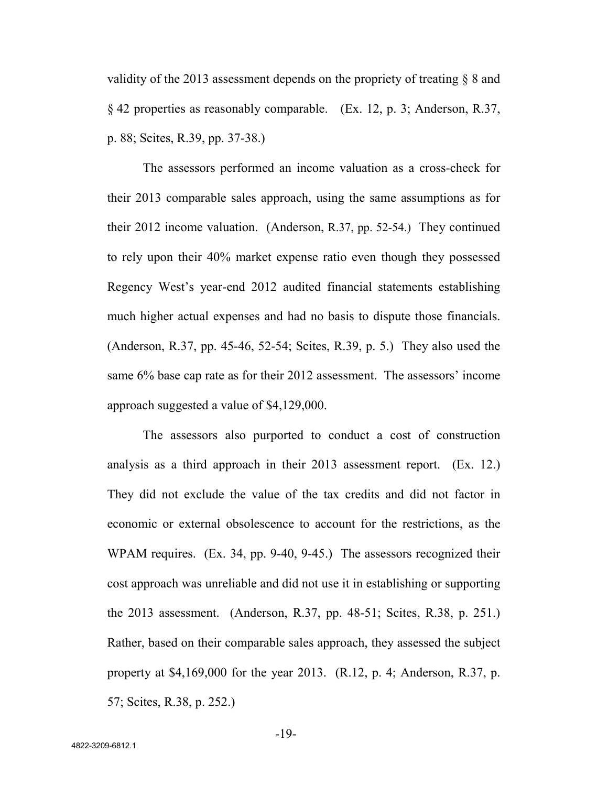validity of the 2013 assessment depends on the propriety of treating § 8 and § 42 properties as reasonably comparable. (Ex. 12, p. 3; Anderson, R.37, p. 88; Scites, R.39, pp. 37-38.)

The assessors performed an income valuation as a cross-check for their 2013 comparable sales approach, using the same assumptions as for their 2012 income valuation. (Anderson, R.37, pp. 52-54.) They continued to rely upon their 40% market expense ratio even though they possessed Regency West's year-end 2012 audited financial statements establishing much higher actual expenses and had no basis to dispute those financials. (Anderson, R.37, pp. 45-46, 52-54; Scites, R.39, p. 5.) They also used the same 6% base cap rate as for their 2012 assessment. The assessors' income approach suggested a value of \$4,129,000.

The assessors also purported to conduct a cost of construction analysis as a third approach in their 2013 assessment report. (Ex. 12.) They did not exclude the value of the tax credits and did not factor in economic or external obsolescence to account for the restrictions, as the WPAM requires. (Ex. 34, pp. 9-40, 9-45.) The assessors recognized their cost approach was unreliable and did not use it in establishing or supporting the 2013 assessment. (Anderson, R.37, pp. 48-51; Scites, R.38, p. 251.) Rather, based on their comparable sales approach, they assessed the subject property at  $$4,169,000$  for the year 2013. (R.12, p. 4; Anderson, R.37, p. 57; Scites, R.38, p. 252.)

-19-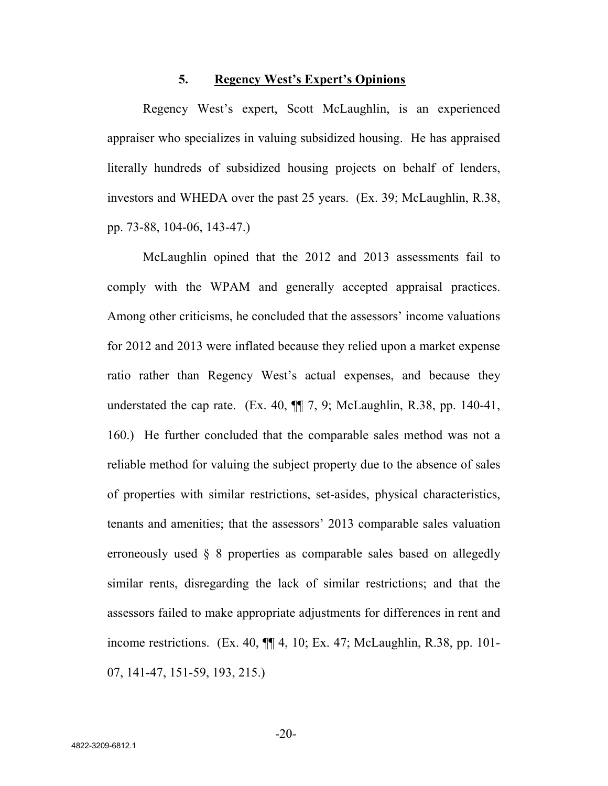#### **5. Regency West's Expert's Opinions**

Regency West's expert, Scott McLaughlin, is an experienced appraiser who specializes in valuing subsidized housing. He has appraised literally hundreds of subsidized housing projects on behalf of lenders, investors and WHEDA over the past 25 years. (Ex. 39; McLaughlin, R.38, pp. 73-88, 104-06, 143-47.)

McLaughlin opined that the 2012 and 2013 assessments fail to comply with the WPAM and generally accepted appraisal practices. Among other criticisms, he concluded that the assessors' income valuations for 2012 and 2013 were inflated because they relied upon a market expense ratio rather than Regency West's actual expenses, and because they understated the cap rate. (Ex. 40,  $\P$  $\overline{=}$  7, 9; McLaughlin, R.38, pp. 140-41, 160.) He further concluded that the comparable sales method was not a reliable method for valuing the subject property due to the absence of sales of properties with similar restrictions, set-asides, physical characteristics, tenants and amenities; that the assessors' 2013 comparable sales valuation erroneously used § 8 properties as comparable sales based on allegedly similar rents, disregarding the lack of similar restrictions; and that the assessors failed to make appropriate adjustments for differences in rent and income restrictions. (Ex. 40,  $\P$  $[$  4, 10; Ex. 47; McLaughlin, R.38, pp. 101-07, 141-47, 151-59, 193, 215.)

-20-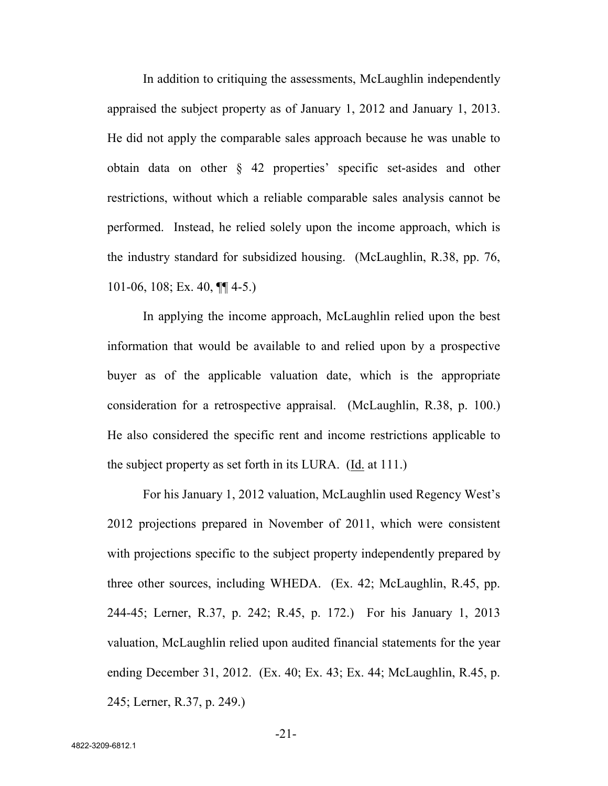In addition to critiquing the assessments, McLaughlin independently appraised the subject property as of January 1, 2012 and January 1, 2013. He did not apply the comparable sales approach because he was unable to obtain data on other § 42 properties' specific set-asides and other restrictions, without which a reliable comparable sales analysis cannot be performed. Instead, he relied solely upon the income approach, which is the industry standard for subsidized housing. (McLaughlin, R.38, pp. 76, 101-06, 108; Ex. 40, ¶¶ 4-5.)

In applying the income approach, McLaughlin relied upon the best information that would be available to and relied upon by a prospective buyer as of the applicable valuation date, which is the appropriate consideration for a retrospective appraisal. (McLaughlin, R.38, p. 100.) He also considered the specific rent and income restrictions applicable to the subject property as set forth in its LURA. (Id. at 111.)

For his January 1, 2012 valuation, McLaughlin used Regency West's 2012 projections prepared in November of 2011, which were consistent with projections specific to the subject property independently prepared by three other sources, including WHEDA. (Ex. 42; McLaughlin, R.45, pp. 244-45; Lerner, R.37, p. 242; R.45, p. 172.) For his January 1, 2013 valuation, McLaughlin relied upon audited financial statements for the year ending December 31, 2012. (Ex. 40; Ex. 43; Ex. 44; McLaughlin, R.45, p. 245; Lerner, R.37, p. 249.)

-21-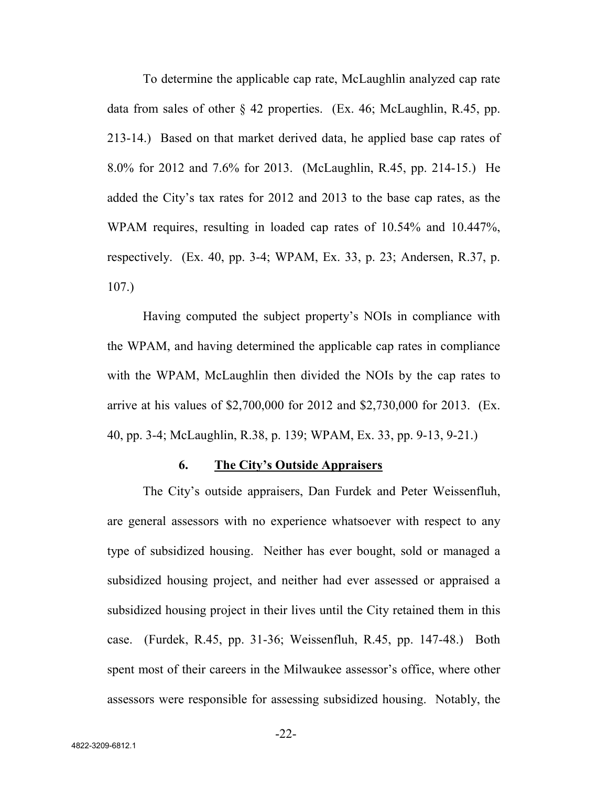To determine the applicable cap rate, McLaughlin analyzed cap rate data from sales of other § 42 properties. (Ex. 46; McLaughlin, R.45, pp. 213-14.) Based on that market derived data, he applied base cap rates of 8.0% for 2012 and 7.6% for 2013. (McLaughlin, R.45, pp. 214-15.) He added the City's tax rates for 2012 and 2013 to the base cap rates, as the WPAM requires, resulting in loaded cap rates of 10.54% and 10.447%, respectively. (Ex. 40, pp. 3-4; WPAM, Ex. 33, p. 23; Andersen, R.37, p. 107.)

Having computed the subject property's NOIs in compliance with the WPAM, and having determined the applicable cap rates in compliance with the WPAM, McLaughlin then divided the NOIs by the cap rates to arrive at his values of \$2,700,000 for 2012 and \$2,730,000 for 2013. (Ex. 40, pp. 3-4; McLaughlin, R.38, p. 139; WPAM, Ex. 33, pp. 9-13, 9-21.)

#### **6. The City's Outside Appraisers**

The City's outside appraisers, Dan Furdek and Peter Weissenfluh, are general assessors with no experience whatsoever with respect to any type of subsidized housing. Neither has ever bought, sold or managed a subsidized housing project, and neither had ever assessed or appraised a subsidized housing project in their lives until the City retained them in this case. (Furdek, R.45, pp. 31-36; Weissenfluh, R.45, pp. 147-48.) Both spent most of their careers in the Milwaukee assessor's office, where other assessors were responsible for assessing subsidized housing. Notably, the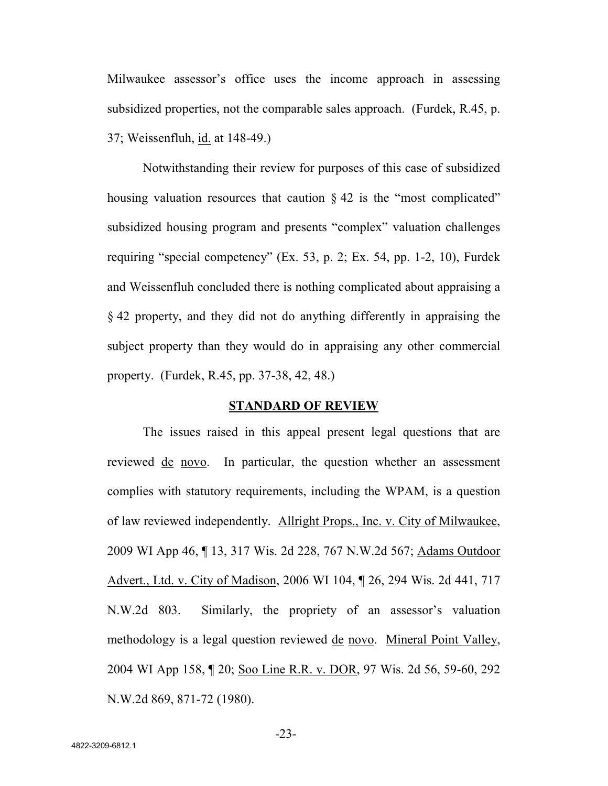Milwaukee assessor's office uses the income approach in assessing subsidized properties, not the comparable sales approach. (Furdek, R.45, p. 37; Weissenfluh, id. at 148-49.)

Notwithstanding their review for purposes of this case of subsidized housing valuation resources that caution  $\S 42$  is the "most complicated" subsidized housing program and presents "complex" valuation challenges requiring "special competency" (Ex. 53, p. 2; Ex. 54, pp. 1-2, 10), Furdek and Weissenfluh concluded there is nothing complicated about appraising a § 42 property, and they did not do anything differently in appraising the subject property than they would do in appraising any other commercial property. (Furdek, R.45, pp. 37-38, 42, 48.)

#### **STANDARD OF REVIEW**

The issues raised in this appeal present legal questions that are reviewed <u>de novo</u>. In particular, the question whether an assessment complies with statutory requirements, including the WPAM, is a question of law reviewed independently. Allright Props., Inc. v. City of Milwaukee, 2009 WI App 46, ¶ 13, 317 Wis. 2d 228, 767 N.W.2d 567; Adams Outdoor Advert., Ltd. v. City of Madison, 2006 WI 104, ¶ 26, 294 Wis. 2d 441, 717 N.W.2d 803. Similarly, the propriety of an assessor's valuation methodology is a legal question reviewed de novo. Mineral Point Valley, 2004 WI App 158, ¶ 20; Soo Line R.R. v. DOR, 97 Wis. 2d 56, 59-60, 292 N.W.2d 869, 871-72 (1980).

-23-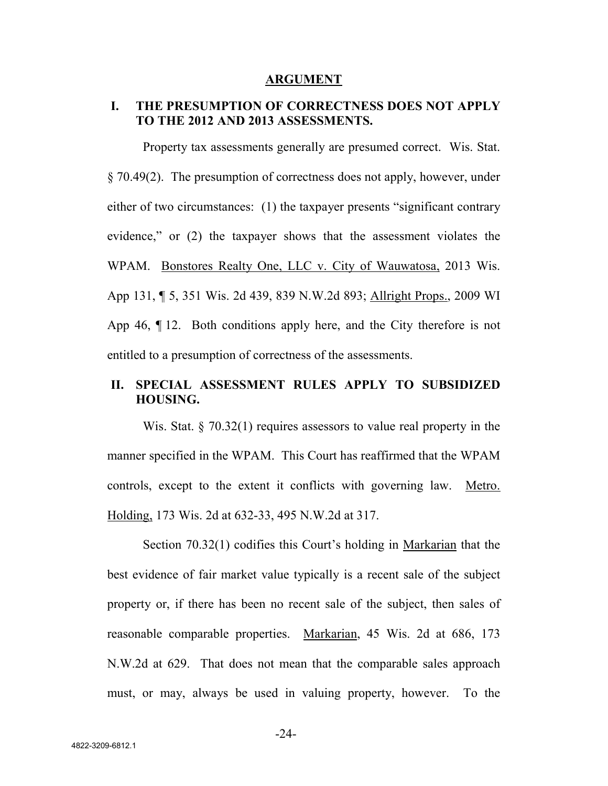#### **ARGUMENT**

## **I. THE PRESUMPTION OF CORRECTNESS DOES NOT APPLY TO THE 2012 AND 2013 ASSESSMENTS.**

Property tax assessments generally are presumed correct. Wis. Stat. § 70.49(2). The presumption of correctness does not apply, however, under either of two circumstances: (1) the taxpayer presents "significant contrary evidence," or (2) the taxpayer shows that the assessment violates the WPAM. Bonstores Realty One, LLC v. City of Wauwatosa, 2013 Wis. App 131, ¶ 5, 351 Wis. 2d 439, 839 N.W.2d 893; Allright Props., 2009 WI App 46, ¶ 12. Both conditions apply here, and the City therefore is not entitled to a presumption of correctness of the assessments.

# **II. SPECIAL ASSESSMENT RULES APPLY TO SUBSIDIZED HOUSING.**

Wis. Stat. § 70.32(1) requires assessors to value real property in the manner specified in the WPAM. This Court has reaffirmed that the WPAM controls, except to the extent it conflicts with governing law. Metro. Holding, 173 Wis. 2d at 632-33, 495 N.W.2d at 317.

Section 70.32(1) codifies this Court's holding in Markarian that the best evidence of fair market value typically is a recent sale of the subject property or, if there has been no recent sale of the subject, then sales of reasonable comparable properties. Markarian, 45 Wis. 2d at 686, 173 N.W.2d at 629. That does not mean that the comparable sales approach must, or may, always be used in valuing property, however. To the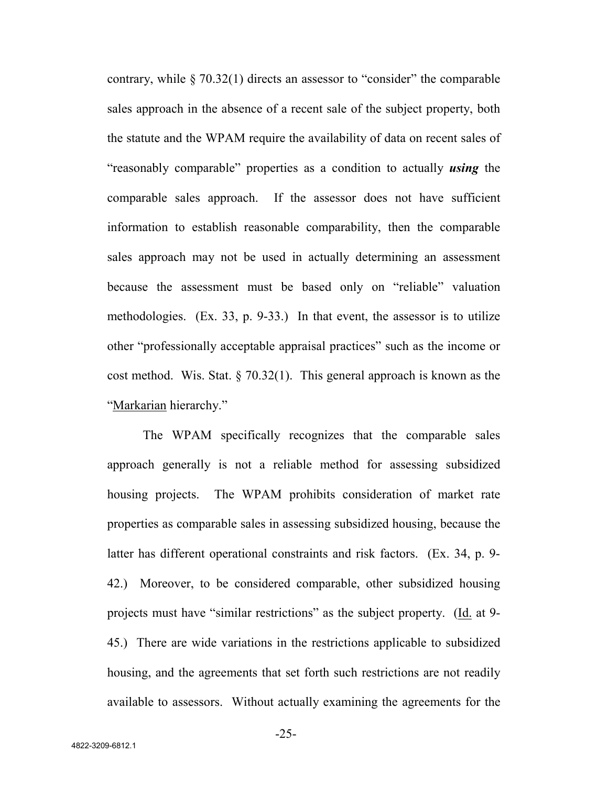contrary, while § 70.32(1) directs an assessor to "consider" the comparable sales approach in the absence of a recent sale of the subject property, both the statute and the WPAM require the availability of data on recent sales of "reasonably comparable" properties as a condition to actually *using* the comparable sales approach. If the assessor does not have sufficient information to establish reasonable comparability, then the comparable sales approach may not be used in actually determining an assessment because the assessment must be based only on "reliable" valuation methodologies. (Ex. 33, p. 9-33.) In that event, the assessor is to utilize other "professionally acceptable appraisal practices" such as the income or cost method. Wis. Stat. § 70.32(1). This general approach is known as the "Markarian hierarchy."

The WPAM specifically recognizes that the comparable sales approach generally is not a reliable method for assessing subsidized housing projects. The WPAM prohibits consideration of market rate properties as comparable sales in assessing subsidized housing, because the latter has different operational constraints and risk factors. (Ex. 34, p. 9- 42.) Moreover, to be considered comparable, other subsidized housing projects must have "similar restrictions" as the subject property. (Id. at 9- 45.) There are wide variations in the restrictions applicable to subsidized housing, and the agreements that set forth such restrictions are not readily available to assessors. Without actually examining the agreements for the

-25-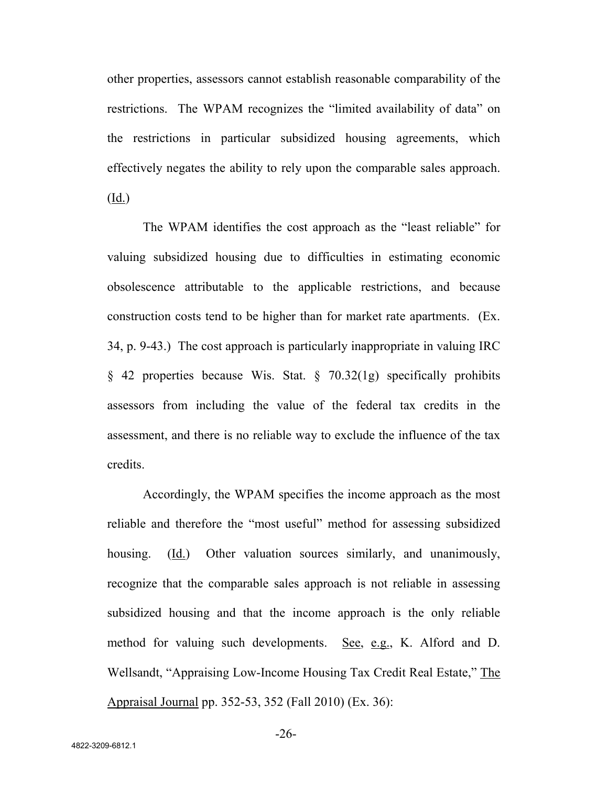other properties, assessors cannot establish reasonable comparability of the restrictions. The WPAM recognizes the "limited availability of data" on the restrictions in particular subsidized housing agreements, which effectively negates the ability to rely upon the comparable sales approach.

(Id.)

The WPAM identifies the cost approach as the "least reliable" for valuing subsidized housing due to difficulties in estimating economic obsolescence attributable to the applicable restrictions, and because construction costs tend to be higher than for market rate apartments. (Ex. 34, p. 9-43.) The cost approach is particularly inappropriate in valuing IRC § 42 properties because Wis. Stat. § 70.32(1g) specifically prohibits assessors from including the value of the federal tax credits in the assessment, and there is no reliable way to exclude the influence of the tax credits.

Accordingly, the WPAM specifies the income approach as the most reliable and therefore the "most useful" method for assessing subsidized housing. (Id.) Other valuation sources similarly, and unanimously, recognize that the comparable sales approach is not reliable in assessing subsidized housing and that the income approach is the only reliable method for valuing such developments. See, e.g., K. Alford and D. Wellsandt, "Appraising Low-Income Housing Tax Credit Real Estate," The Appraisal Journal pp. 352-53, 352 (Fall 2010) (Ex. 36):

-26-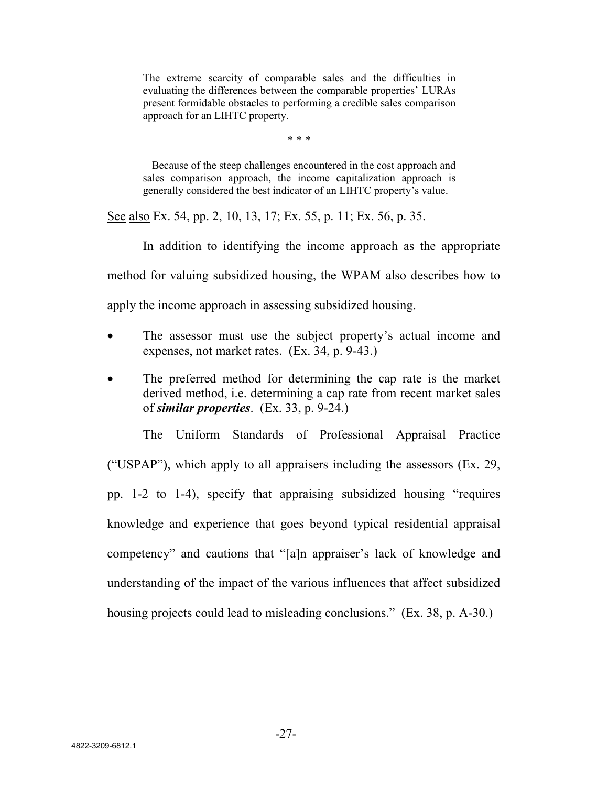The extreme scarcity of comparable sales and the difficulties in evaluating the differences between the comparable properties' LURAs present formidable obstacles to performing a credible sales comparison approach for an LIHTC property.

\* \* \*

Because of the steep challenges encountered in the cost approach and sales comparison approach, the income capitalization approach is generally considered the best indicator of an LIHTC property's value.

See also Ex. 54, pp. 2, 10, 13, 17; Ex. 55, p. 11; Ex. 56, p. 35.

In addition to identifying the income approach as the appropriate

method for valuing subsidized housing, the WPAM also describes how to

apply the income approach in assessing subsidized housing.

- The assessor must use the subject property's actual income and expenses, not market rates. (Ex. 34, p. 9-43.)
- The preferred method for determining the cap rate is the market derived method, i.e. determining a cap rate from recent market sales of *similar properties*. (Ex. 33, p. 9-24.)

The Uniform Standards of Professional Appraisal Practice ("USPAP"), which apply to all appraisers including the assessors  $(Ex. 29, ...)$ pp. 1-2 to 1-4), specify that appraising subsidized housing "requires knowledge and experience that goes beyond typical residential appraisal competency" and cautions that "[a]n appraiser's lack of knowledge and understanding of the impact of the various influences that affect subsidized housing projects could lead to misleading conclusions." (Ex. 38, p. A-30.)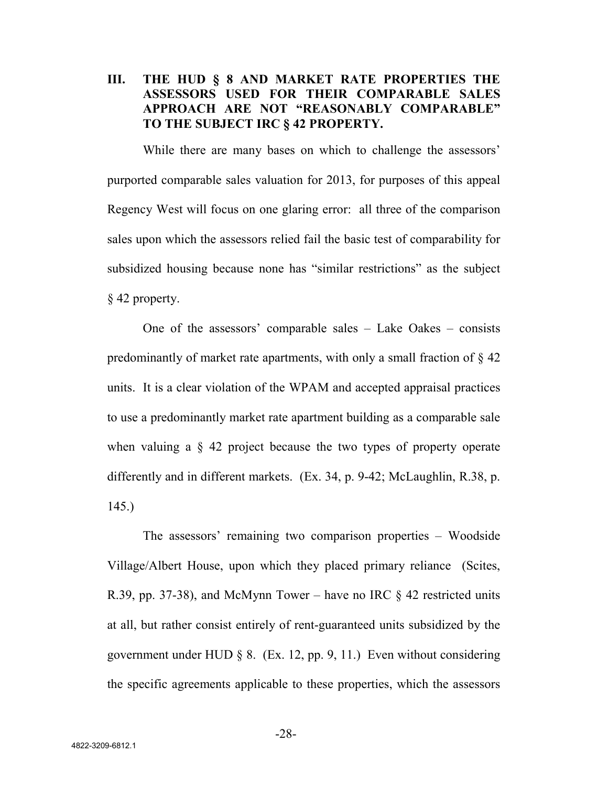**III. THE HUD § 8 AND MARKET RATE PROPERTIES THE ASSESSORS USED FOR THEIR COMPARABLE SALES APPROACH ARE NOT "REASONABLY COMPARABLE" TO THE SUBJECT IRC § 42 PROPERTY.**

While there are many bases on which to challenge the assessors' purported comparable sales valuation for 2013, for purposes of this appeal Regency West will focus on one glaring error: all three of the comparison sales upon which the assessors relied fail the basic test of comparability for subsidized housing because none has "similar restrictions" as the subject § 42 property.

One of the assessors' comparable sales – Lake Oakes – consists predominantly of market rate apartments, with only a small fraction of § 42 units. It is a clear violation of the WPAM and accepted appraisal practices to use a predominantly market rate apartment building as a comparable sale when valuing a § 42 project because the two types of property operate differently and in different markets. (Ex. 34, p. 9-42; McLaughlin, R.38, p. 145.)

The assessors' remaining two comparison properties – Woodside Village/Albert House, upon which they placed primary reliance (Scites, R.39, pp. 37-38), and McMynn Tower – have no IRC  $\S$  42 restricted units at all, but rather consist entirely of rent-guaranteed units subsidized by the government under HUD  $\S$  8. (Ex. 12, pp. 9, 11.) Even without considering the specific agreements applicable to these properties, which the assessors

-28-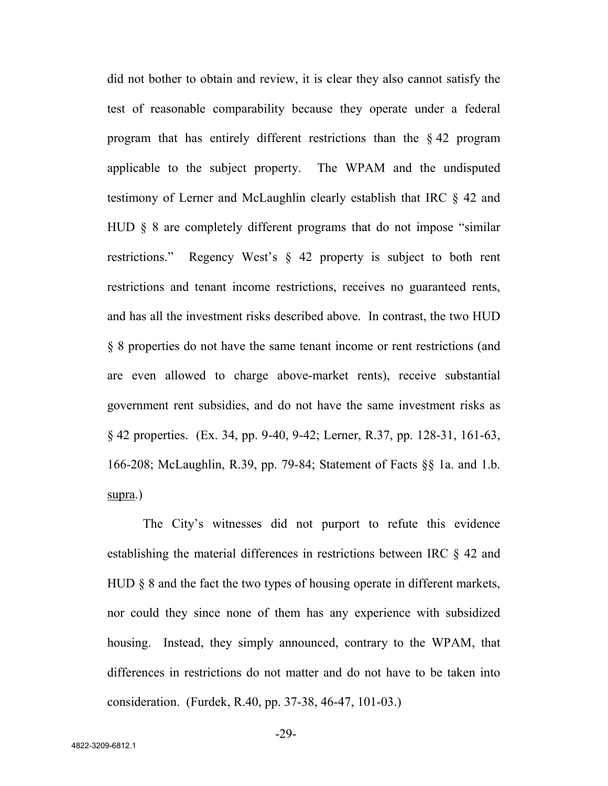did not bother to obtain and review, it is clear they also cannot satisfy the test of reasonable comparability because they operate under a federal program that has entirely different restrictions than the § 42 program applicable to the subject property. The WPAM and the undisputed testimony of Lerner and McLaughlin clearly establish that IRC § 42 and HUD § 8 are completely different programs that do not impose "similar restrictions." Regency West's § 42 property is subject to both rent restrictions and tenant income restrictions, receives no guaranteed rents, and has all the investment risks described above. In contrast, the two HUD § 8 properties do not have the same tenant income or rent restrictions (and are even allowed to charge above-market rents), receive substantial government rent subsidies, and do not have the same investment risks as § 42 properties. (Ex. 34, pp. 9-40, 9-42; Lerner, R.37, pp. 128-31, 161-63, 166-208; McLaughlin, R.39, pp. 79-84; Statement of Facts §§ 1a. and 1.b. supra.)

The City's witnesses did not purport to refute this evidence establishing the material differences in restrictions between IRC § 42 and HUD § 8 and the fact the two types of housing operate in different markets, nor could they since none of them has any experience with subsidized housing. Instead, they simply announced, contrary to the WPAM, that differences in restrictions do not matter and do not have to be taken into consideration. (Furdek, R.40, pp. 37-38, 46-47, 101-03.)

-29-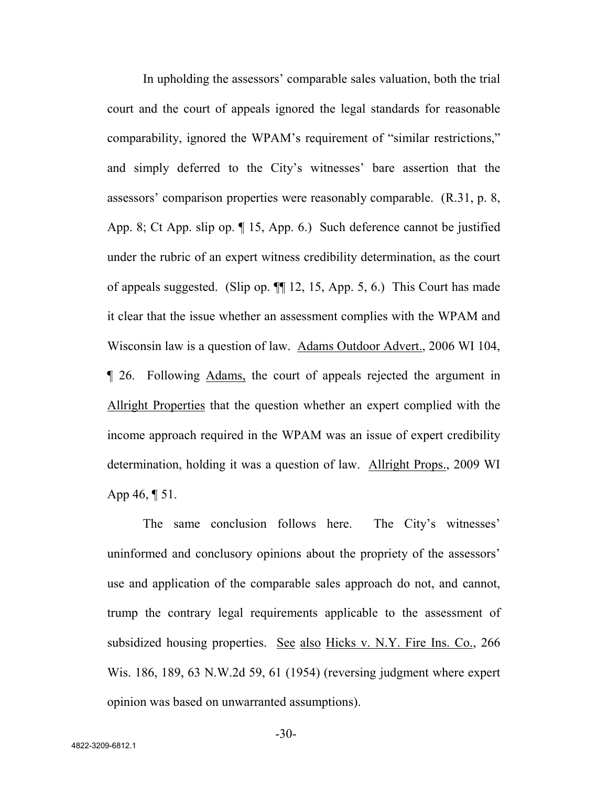In upholding the assessors' comparable sales valuation, both the trial court and the court of appeals ignored the legal standards for reasonable comparability, ignored the WPAM's requirement of "similar restrictions," and simply deferred to the City's witnesses' bare assertion that the assessors' comparison properties were reasonably comparable. (R.31, p. 8, App. 8; Ct App. slip op. ¶ 15, App. 6.) Such deference cannot be justified under the rubric of an expert witness credibility determination, as the court of appeals suggested. (Slip op. ¶¶ 12, 15, App. 5, 6.) This Court has made it clear that the issue whether an assessment complies with the WPAM and Wisconsin law is a question of law. Adams Outdoor Advert., 2006 WI 104, ¶ 26. Following Adams, the court of appeals rejected the argument in Allright Properties that the question whether an expert complied with the income approach required in the WPAM was an issue of expert credibility determination, holding it was a question of law. Allright Props., 2009 WI App 46, ¶ 51.

The same conclusion follows here. The City's witnesses' uninformed and conclusory opinions about the propriety of the assessors' use and application of the comparable sales approach do not, and cannot, trump the contrary legal requirements applicable to the assessment of subsidized housing properties. See also Hicks v. N.Y. Fire Ins. Co., 266 Wis. 186, 189, 63 N.W.2d 59, 61 (1954) (reversing judgment where expert opinion was based on unwarranted assumptions).

-30-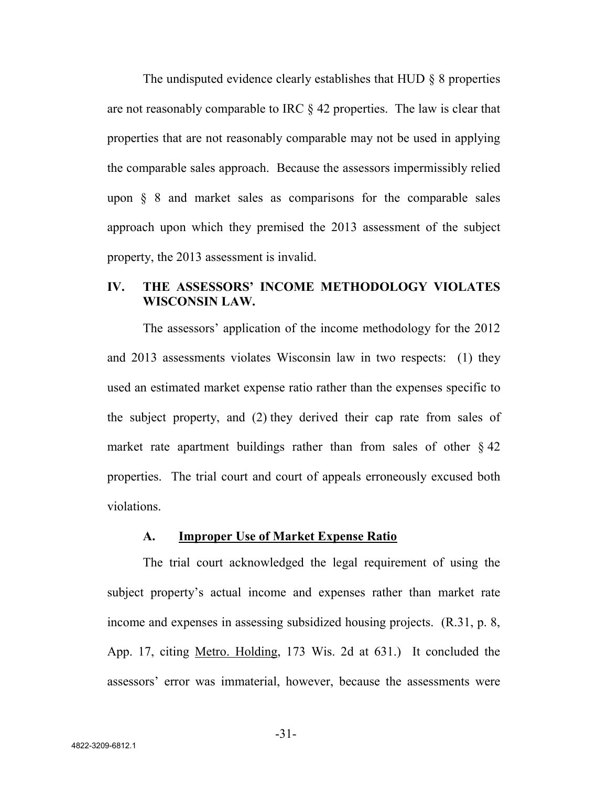The undisputed evidence clearly establishes that HUD § 8 properties are not reasonably comparable to IRC § 42 properties. The law is clear that properties that are not reasonably comparable may not be used in applying the comparable sales approach. Because the assessors impermissibly relied upon  $\S$  8 and market sales as comparisons for the comparable sales approach upon which they premised the 2013 assessment of the subject property, the 2013 assessment is invalid.

## **IV. THE ASSESSORS' INCOME METHODOLOGY VIOLATES WISCONSIN LAW.**

The assessors' application of the income methodology for the 2012 and 2013 assessments violates Wisconsin law in two respects: (1) they used an estimated market expense ratio rather than the expenses specific to the subject property, and (2) they derived their cap rate from sales of market rate apartment buildings rather than from sales of other  $\S$  42 properties. The trial court and court of appeals erroneously excused both violations.

#### **A. Improper Use of Market Expense Ratio**

The trial court acknowledged the legal requirement of using the subject property's actual income and expenses rather than market rate income and expenses in assessing subsidized housing projects. (R.31, p. 8, App. 17, citing Metro. Holding, 173 Wis. 2d at 631.) It concluded the assessors' error was immaterial, however, because the assessments were

-31-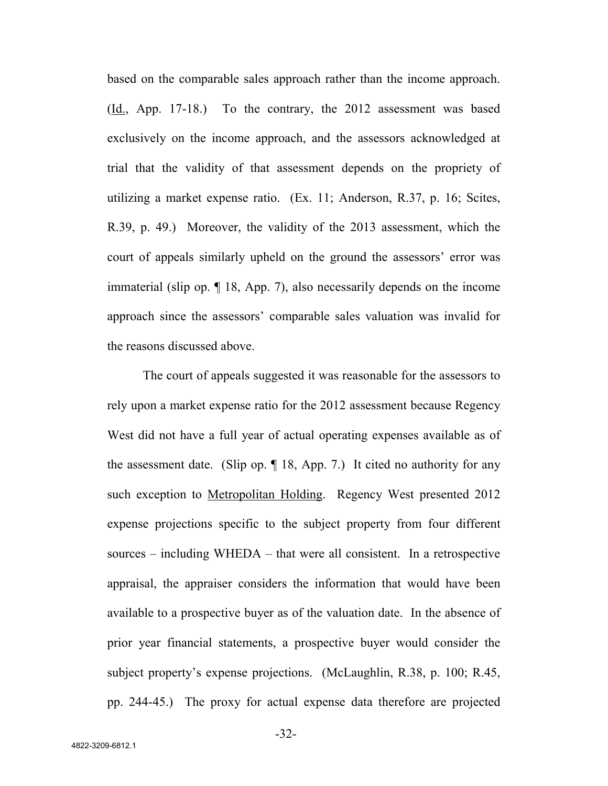based on the comparable sales approach rather than the income approach. (Id., App. 17-18.) To the contrary, the 2012 assessment was based exclusively on the income approach, and the assessors acknowledged at trial that the validity of that assessment depends on the propriety of utilizing a market expense ratio. (Ex. 11; Anderson, R.37, p. 16; Scites, R.39, p. 49.) Moreover, the validity of the 2013 assessment, which the court of appeals similarly upheld on the ground the assessors' error was immaterial (slip op. ¶ 18, App. 7), also necessarily depends on the income approach since the assessors' comparable sales valuation was invalid for the reasons discussed above.

The court of appeals suggested it was reasonable for the assessors to rely upon a market expense ratio for the 2012 assessment because Regency West did not have a full year of actual operating expenses available as of the assessment date. (Slip op. ¶ 18, App. 7.) It cited no authority for any such exception to Metropolitan Holding. Regency West presented 2012 expense projections specific to the subject property from four different sources – including WHEDA – that were all consistent. In a retrospective appraisal, the appraiser considers the information that would have been available to a prospective buyer as of the valuation date. In the absence of prior year financial statements, a prospective buyer would consider the subject property's expense projections. (McLaughlin, R.38, p. 100; R.45, pp. 244-45.) The proxy for actual expense data therefore are projected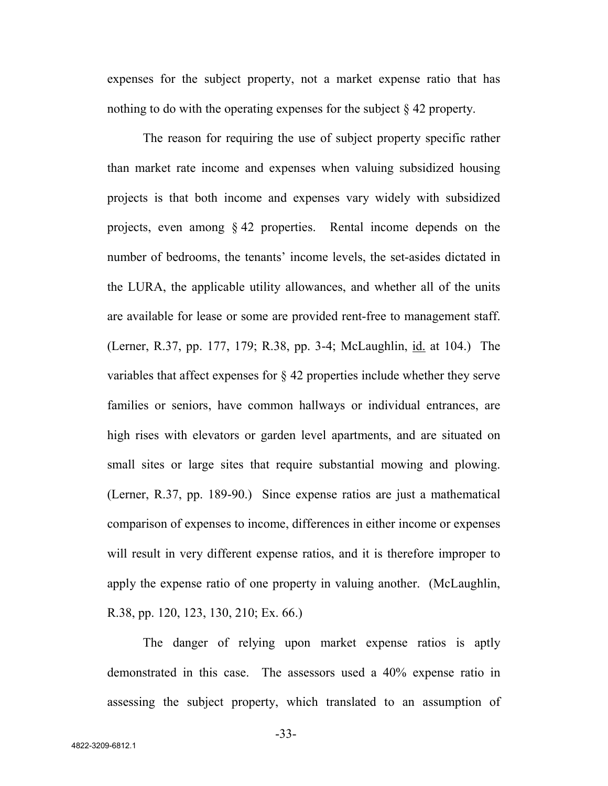expenses for the subject property, not a market expense ratio that has nothing to do with the operating expenses for the subject § 42 property.

The reason for requiring the use of subject property specific rather than market rate income and expenses when valuing subsidized housing projects is that both income and expenses vary widely with subsidized projects, even among § 42 properties. Rental income depends on the number of bedrooms, the tenants' income levels, the set-asides dictated in the LURA, the applicable utility allowances, and whether all of the units are available for lease or some are provided rent-free to management staff. (Lerner, R.37, pp. 177, 179; R.38, pp. 3-4; McLaughlin, id. at 104.) The variables that affect expenses for § 42 properties include whether they serve families or seniors, have common hallways or individual entrances, are high rises with elevators or garden level apartments, and are situated on small sites or large sites that require substantial mowing and plowing. (Lerner, R.37, pp. 189-90.) Since expense ratios are just a mathematical comparison of expenses to income, differences in either income or expenses will result in very different expense ratios, and it is therefore improper to apply the expense ratio of one property in valuing another. (McLaughlin, R.38, pp. 120, 123, 130, 210; Ex. 66.)

The danger of relying upon market expense ratios is aptly demonstrated in this case. The assessors used a 40% expense ratio in assessing the subject property, which translated to an assumption of

-33-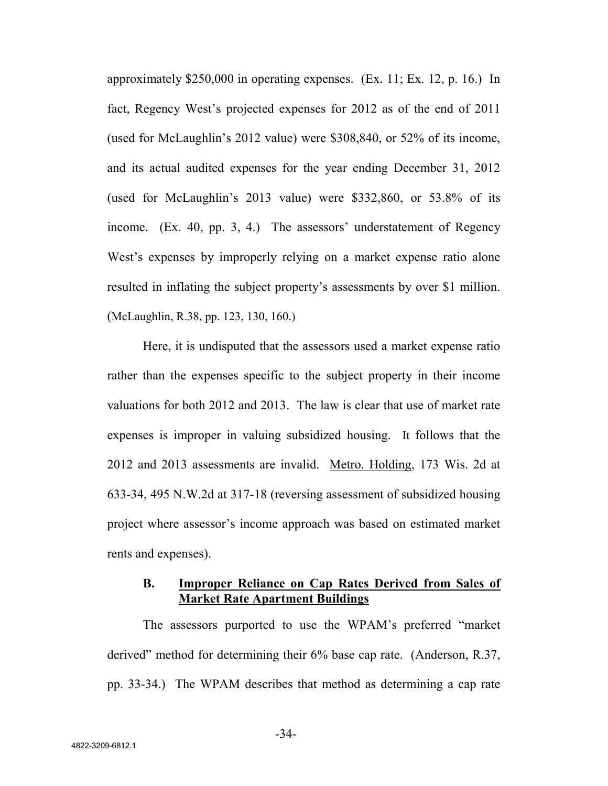approximately \$250,000 in operating expenses. (Ex. 11; Ex. 12, p. 16.) In fact, Regency West's projected expenses for 2012 as of the end of 2011 (used for McLaughlin's 2012 value) were \$308,840, or 52% of its income, and its actual audited expenses for the year ending December 31, 2012 (used for McLaughlin's 2013 value) were \$332,860, or 53.8% of its income. (Ex. 40, pp. 3, 4.) The assessors' understatement of Regency West's expenses by improperly relying on a market expense ratio alone resulted in inflating the subject property's assessments by over \$1 million. (McLaughlin, R.38, pp. 123, 130, 160.)

Here, it is undisputed that the assessors used a market expense ratio rather than the expenses specific to the subject property in their income valuations for both 2012 and 2013. The law is clear that use of market rate expenses is improper in valuing subsidized housing. It follows that the 2012 and 2013 assessments are invalid. Metro. Holding, 173 Wis. 2d at 633-34, 495 N.W.2d at 317-18 (reversing assessment of subsidized housing project where assessor's income approach was based on estimated market rents and expenses).

## **B. Improper Reliance on Cap Rates Derived from Sales of Market Rate Apartment Buildings**

The assessors purported to use the WPAM's preferred "market derived" method for determining their 6% base cap rate. (Anderson, R.37, pp. 33-34.) The WPAM describes that method as determining a cap rate

-34-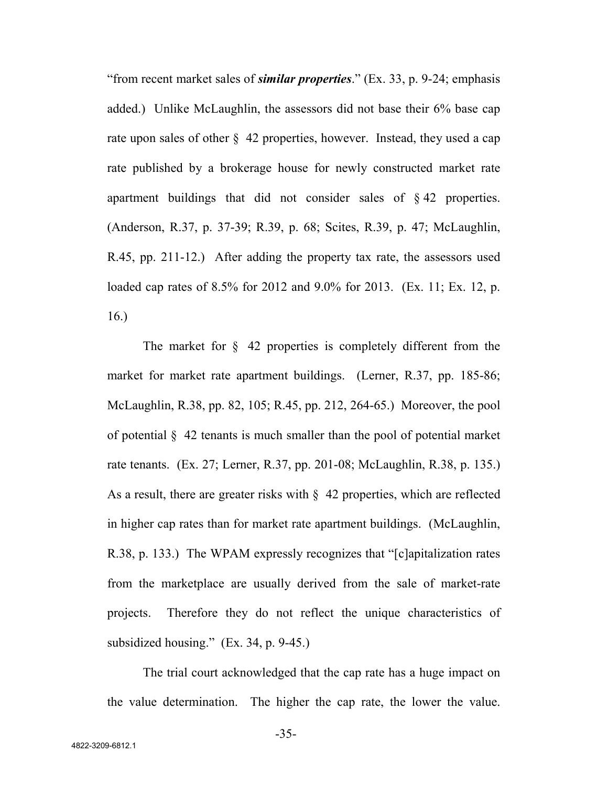"from recent market sales of *similar properties*." (Ex. 33, p. 9-24; emphasis added.) Unlike McLaughlin, the assessors did not base their 6% base cap rate upon sales of other  $\S$  42 properties, however. Instead, they used a cap rate published by a brokerage house for newly constructed market rate apartment buildings that did not consider sales of § 42 properties. (Anderson, R.37, p. 37-39; R.39, p. 68; Scites, R.39, p. 47; McLaughlin, R.45, pp. 211-12.) After adding the property tax rate, the assessors used loaded cap rates of 8.5% for 2012 and 9.0% for 2013. (Ex. 11; Ex. 12, p. 16.)

The market for  $\S$  42 properties is completely different from the market for market rate apartment buildings. (Lerner, R.37, pp. 185-86; McLaughlin, R.38, pp. 82, 105; R.45, pp. 212, 264-65.) Moreover, the pool of potential § 42 tenants is much smaller than the pool of potential market rate tenants. (Ex. 27; Lerner, R.37, pp. 201-08; McLaughlin, R.38, p. 135.) As a result, there are greater risks with § 42 properties, which are reflected in higher cap rates than for market rate apartment buildings. (McLaughlin, R.38, p. 133.) The WPAM expressly recognizes that "[c]apitalization rates from the marketplace are usually derived from the sale of market-rate projects. Therefore they do not reflect the unique characteristics of subsidized housing." (Ex. 34, p. 9-45.)

The trial court acknowledged that the cap rate has a huge impact on the value determination. The higher the cap rate, the lower the value.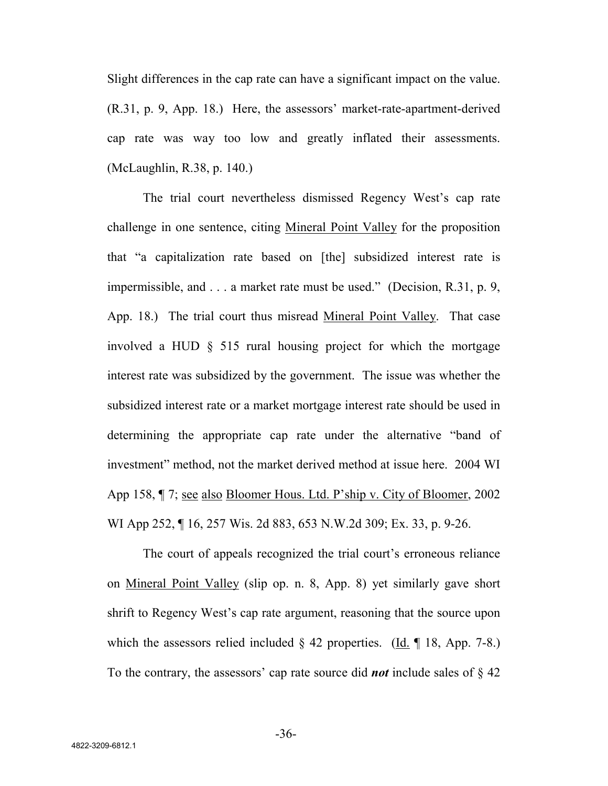Slight differences in the cap rate can have a significant impact on the value. (R.31, p. 9, App. 18.) Here, the assessors' market-rate-apartment-derived cap rate was way too low and greatly inflated their assessments. (McLaughlin, R.38, p. 140.)

The trial court nevertheless dismissed Regency West's cap rate challenge in one sentence, citing Mineral Point Valley for the proposition that "a capitalization rate based on [the] subsidized interest rate is impermissible, and . . . a market rate must be used." (Decision, R.31, p. 9, App. 18.) The trial court thus misread Mineral Point Valley. That case involved a HUD § 515 rural housing project for which the mortgage interest rate was subsidized by the government. The issue was whether the subsidized interest rate or a market mortgage interest rate should be used in determining the appropriate cap rate under the alternative "band of investment" method, not the market derived method at issue here. 2004 WI App 158, ¶ 7; see also Bloomer Hous. Ltd. P'ship v. City of Bloomer, 2002 WI App 252, ¶ 16, 257 Wis. 2d 883, 653 N.W.2d 309; Ex. 33, p. 9-26.

The court of appeals recognized the trial court's erroneous reliance on Mineral Point Valley (slip op. n. 8, App. 8) yet similarly gave short shrift to Regency West's cap rate argument, reasoning that the source upon which the assessors relied included  $\S$  42 properties. (Id. ¶ 18, App. 7-8.) To the contrary, the assessors' cap rate source did *not* include sales of § 42

-36-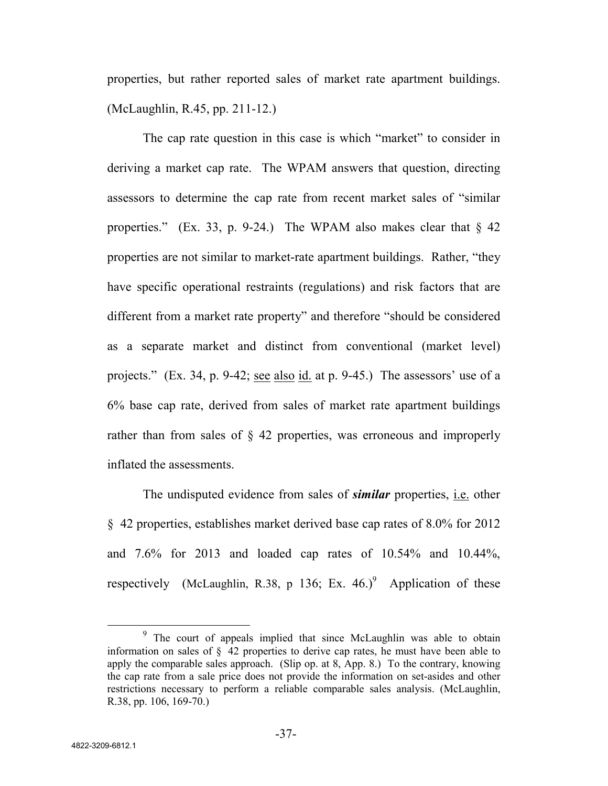properties, but rather reported sales of market rate apartment buildings. (McLaughlin, R.45, pp. 211-12.)

The cap rate question in this case is which "market" to consider in deriving a market cap rate. The WPAM answers that question, directing assessors to determine the cap rate from recent market sales of "similar properties." (Ex. 33, p. 9-24.) The WPAM also makes clear that  $\S$  42 properties are not similar to market-rate apartment buildings. Rather, "they have specific operational restraints (regulations) and risk factors that are different from a market rate property" and therefore "should be considered as a separate market and distinct from conventional (market level) projects." (Ex. 34, p. 9-42; see also id. at p. 9-45.) The assessors' use of a 6% base cap rate, derived from sales of market rate apartment buildings rather than from sales of § 42 properties, was erroneous and improperly inflated the assessments.

The undisputed evidence from sales of *similar* properties, i.e. other § 42 properties, establishes market derived base cap rates of 8.0% for 2012 and 7.6% for 2013 and loaded cap rates of 10.54% and 10.44%, respectively (McLaughlin, R.38, p 136; Ex.  $46.$ )<sup>9</sup> Application of these

<sup>&</sup>lt;sup>9</sup> The court of appeals implied that since McLaughlin was able to obtain information on sales of § 42 properties to derive cap rates, he must have been able to apply the comparable sales approach. (Slip op. at 8, App. 8.) To the contrary, knowing the cap rate from a sale price does not provide the information on set-asides and other restrictions necessary to perform a reliable comparable sales analysis. (McLaughlin, R.38, pp. 106, 169-70.)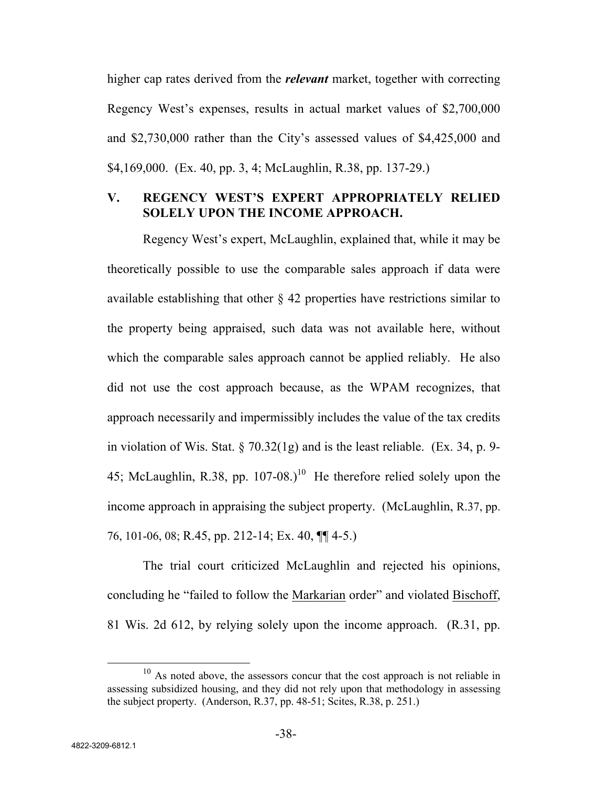higher cap rates derived from the *relevant* market, together with correcting Regency West's expenses, results in actual market values of \$2,700,000 and \$2,730,000 rather than the City's assessed values of \$4,425,000 and \$4,169,000. (Ex. 40, pp. 3, 4; McLaughlin, R.38, pp. 137-29.)

# **V. REGENCY WEST'S EXPERT APPROPRIATELY RELIED SOLELY UPON THE INCOME APPROACH.**

Regency West's expert, McLaughlin, explained that, while it may be theoretically possible to use the comparable sales approach if data were available establishing that other § 42 properties have restrictions similar to the property being appraised, such data was not available here, without which the comparable sales approach cannot be applied reliably. He also did not use the cost approach because, as the WPAM recognizes, that approach necessarily and impermissibly includes the value of the tax credits in violation of Wis. Stat. § 70.32(1g) and is the least reliable. (Ex. 34, p. 9- 45; McLaughlin, R.38, pp.  $107-08$ .)<sup>10</sup> He therefore relied solely upon the income approach in appraising the subject property. (McLaughlin, R.37, pp. 76, 101-06, 08; R.45, pp. 212-14; Ex. 40, ¶¶ 4-5.)

The trial court criticized McLaughlin and rejected his opinions, concluding he "failed to follow the Markarian order" and violated Bischoff, 81 Wis. 2d 612, by relying solely upon the income approach. (R.31, pp.

 $10$  As noted above, the assessors concur that the cost approach is not reliable in assessing subsidized housing, and they did not rely upon that methodology in assessing the subject property. (Anderson, R.37, pp. 48-51; Scites, R.38, p. 251.)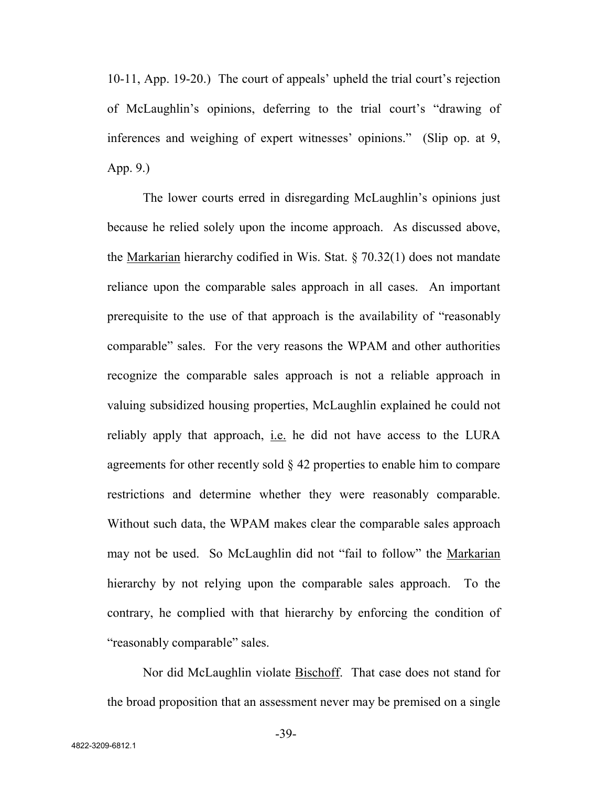10-11, App. 19-20.) The court of appeals' upheld the trial court's rejection of McLaughlin's opinions, deferring to the trial court's "drawing of inferences and weighing of expert witnesses' opinions." (Slip op. at 9, App. 9.)

The lower courts erred in disregarding McLaughlin's opinions just because he relied solely upon the income approach. As discussed above, the Markarian hierarchy codified in Wis. Stat. § 70.32(1) does not mandate reliance upon the comparable sales approach in all cases. An important prerequisite to the use of that approach is the availability of "reasonably comparable" sales. For the very reasons the WPAM and other authorities recognize the comparable sales approach is not a reliable approach in valuing subsidized housing properties, McLaughlin explained he could not reliably apply that approach, i.e. he did not have access to the LURA agreements for other recently sold § 42 properties to enable him to compare restrictions and determine whether they were reasonably comparable. Without such data, the WPAM makes clear the comparable sales approach may not be used. So McLaughlin did not "fail to follow" the Markarian hierarchy by not relying upon the comparable sales approach. To the contrary, he complied with that hierarchy by enforcing the condition of "reasonably comparable" sales.

Nor did McLaughlin violate Bischoff. That case does not stand for the broad proposition that an assessment never may be premised on a single

-39-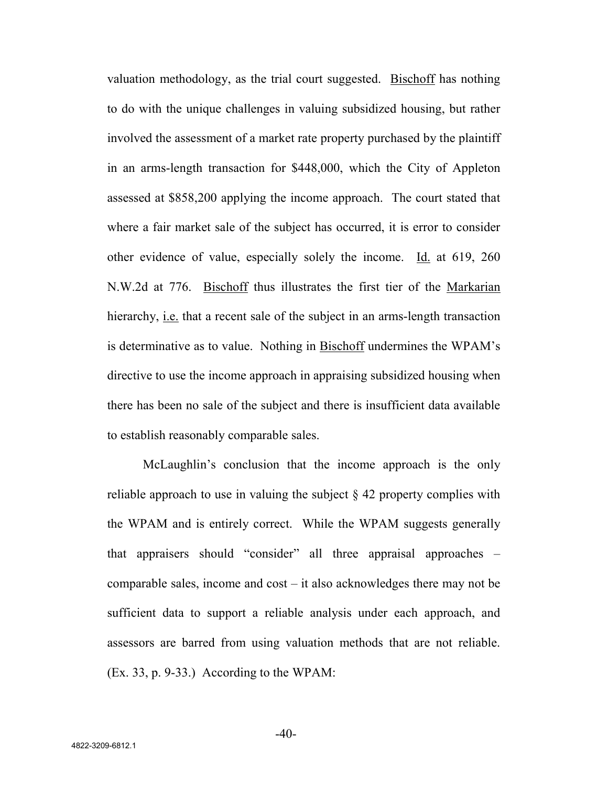valuation methodology, as the trial court suggested. Bischoff has nothing to do with the unique challenges in valuing subsidized housing, but rather involved the assessment of a market rate property purchased by the plaintiff in an arms-length transaction for \$448,000, which the City of Appleton assessed at \$858,200 applying the income approach. The court stated that where a fair market sale of the subject has occurred, it is error to consider other evidence of value, especially solely the income. Id. at 619, 260 N.W.2d at 776. Bischoff thus illustrates the first tier of the Markarian hierarchy, i.e. that a recent sale of the subject in an arms-length transaction is determinative as to value. Nothing in Bischoff undermines the WPAM's directive to use the income approach in appraising subsidized housing when there has been no sale of the subject and there is insufficient data available to establish reasonably comparable sales.

McLaughlin's conclusion that the income approach is the only reliable approach to use in valuing the subject  $\S$  42 property complies with the WPAM and is entirely correct. While the WPAM suggests generally that appraisers should "consider" all three appraisal approaches – comparable sales, income and cost – it also acknowledges there may not be sufficient data to support a reliable analysis under each approach, and assessors are barred from using valuation methods that are not reliable. (Ex. 33, p. 9-33.) According to the WPAM:

 $-40-$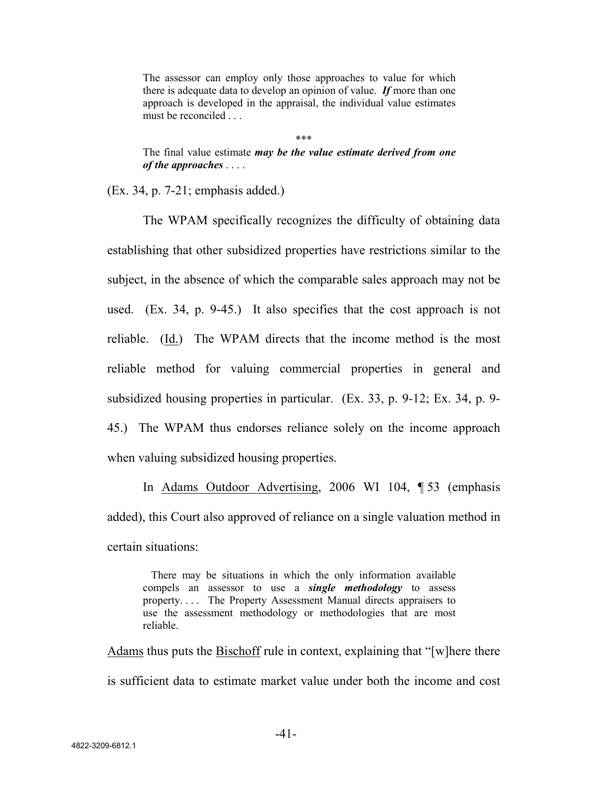The assessor can employ only those approaches to value for which there is adequate data to develop an opinion of value. *If* more than one approach is developed in the appraisal, the individual value estimates must be reconciled . . .

\*\*\*

The final value estimate *may be the value estimate derived from one of the approaches* . . . .

(Ex. 34, p. 7-21; emphasis added.)

The WPAM specifically recognizes the difficulty of obtaining data establishing that other subsidized properties have restrictions similar to the subject, in the absence of which the comparable sales approach may not be used. (Ex. 34, p. 9-45.) It also specifies that the cost approach is not reliable. (Id.) The WPAM directs that the income method is the most reliable method for valuing commercial properties in general and subsidized housing properties in particular. (Ex. 33, p. 9-12; Ex. 34, p. 9- 45.) The WPAM thus endorses reliance solely on the income approach when valuing subsidized housing properties.

In Adams Outdoor Advertising, 2006 WI 104, ¶ 53 (emphasis added), this Court also approved of reliance on a single valuation method in certain situations:

There may be situations in which the only information available compels an assessor to use a *single methodology* to assess property. . . . The Property Assessment Manual directs appraisers to use the assessment methodology or methodologies that are most reliable.

Adams thus puts the Bischoff rule in context, explaining that "[w]here there is sufficient data to estimate market value under both the income and cost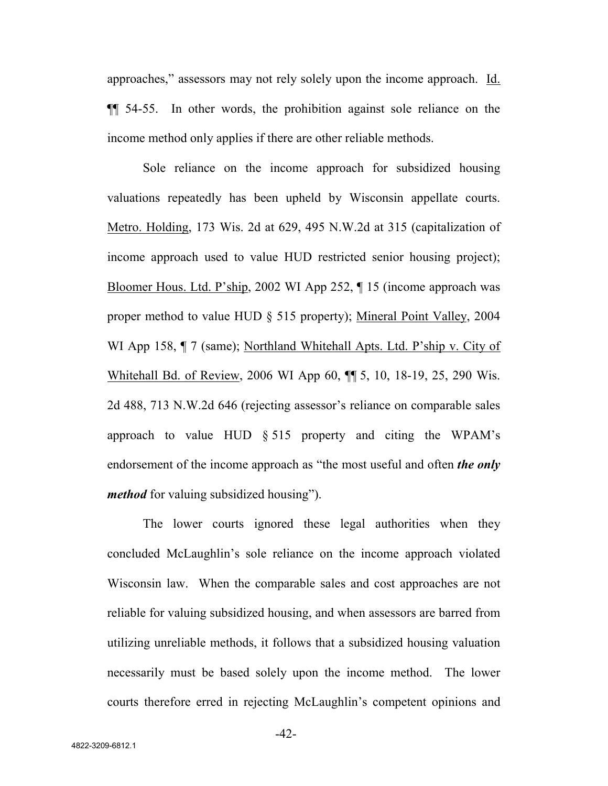approaches," assessors may not rely solely upon the income approach. Id. ¶¶ 54-55. In other words, the prohibition against sole reliance on the income method only applies if there are other reliable methods.

Sole reliance on the income approach for subsidized housing valuations repeatedly has been upheld by Wisconsin appellate courts. Metro. Holding, 173 Wis. 2d at 629, 495 N.W.2d at 315 (capitalization of income approach used to value HUD restricted senior housing project); Bloomer Hous. Ltd. P'ship, 2002 WI App 252, ¶ 15 (income approach was proper method to value HUD § 515 property); Mineral Point Valley, 2004 WI App 158,  $\P$  7 (same); Northland Whitehall Apts. Ltd. P'ship v. City of Whitehall Bd. of Review, 2006 WI App 60,  $\P$  5, 10, 18-19, 25, 290 Wis. 2d 488, 713 N.W.2d 646 (rejecting assessor's reliance on comparable sales approach to value HUD § 515 property and citing the WPAM's endorsement of the income approach as "the most useful and often *the only method* for valuing subsidized housing").

The lower courts ignored these legal authorities when they concluded McLaughlin's sole reliance on the income approach violated Wisconsin law. When the comparable sales and cost approaches are not reliable for valuing subsidized housing, and when assessors are barred from utilizing unreliable methods, it follows that a subsidized housing valuation necessarily must be based solely upon the income method. The lower courts therefore erred in rejecting McLaughlin's competent opinions and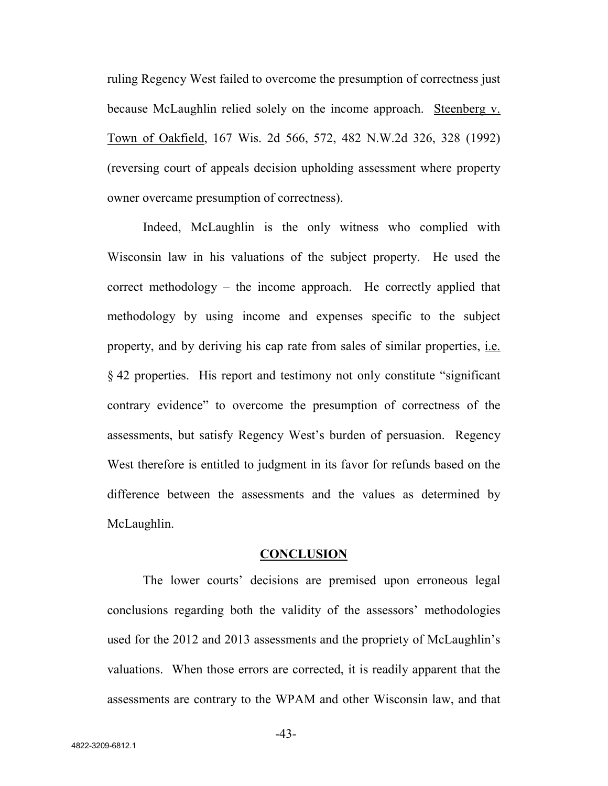ruling Regency West failed to overcome the presumption of correctness just because McLaughlin relied solely on the income approach. Steenberg v. Town of Oakfield, 167 Wis. 2d 566, 572, 482 N.W.2d 326, 328 (1992) (reversing court of appeals decision upholding assessment where property owner overcame presumption of correctness).

Indeed, McLaughlin is the only witness who complied with Wisconsin law in his valuations of the subject property. He used the correct methodology – the income approach. He correctly applied that methodology by using income and expenses specific to the subject property, and by deriving his cap rate from sales of similar properties, i.e. § 42 properties. His report and testimony not only constitute "significant contrary evidence" to overcome the presumption of correctness of the assessments, but satisfy Regency West's burden of persuasion. Regency West therefore is entitled to judgment in its favor for refunds based on the difference between the assessments and the values as determined by McLaughlin.

#### **CONCLUSION**

The lower courts' decisions are premised upon erroneous legal conclusions regarding both the validity of the assessors' methodologies used for the 2012 and 2013 assessments and the propriety of McLaughlin's valuations. When those errors are corrected, it is readily apparent that the assessments are contrary to the WPAM and other Wisconsin law, and that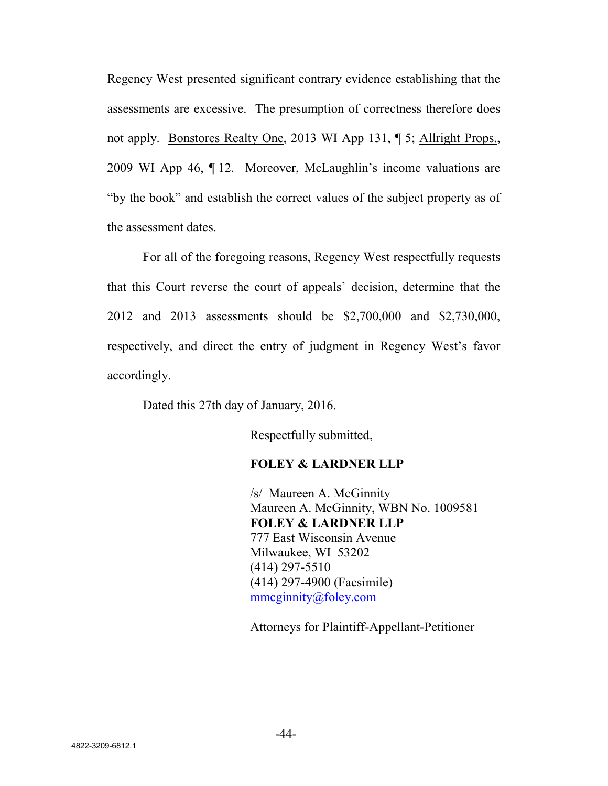Regency West presented significant contrary evidence establishing that the assessments are excessive. The presumption of correctness therefore does not apply. Bonstores Realty One, 2013 WI App 131, ¶ 5; Allright Props., 2009 WI App 46, ¶ 12. Moreover, McLaughlin's income valuations are "by the book" and establish the correct values of the subject property as of the assessment dates.

For all of the foregoing reasons, Regency West respectfully requests that this Court reverse the court of appeals' decision, determine that the 2012 and 2013 assessments should be \$2,700,000 and \$2,730,000, respectively, and direct the entry of judgment in Regency West's favor accordingly.

Dated this 27th day of January, 2016.

Respectfully submitted,

### **FOLEY & LARDNER LLP**

/s/ Maureen A. McGinnity Maureen A. McGinnity, WBN No. 1009581 **FOLEY & LARDNER LLP** 777 East Wisconsin Avenue Milwaukee, WI 53202 (414) 297-5510 (414) 297-4900 (Facsimile) mmcginnity@foley.com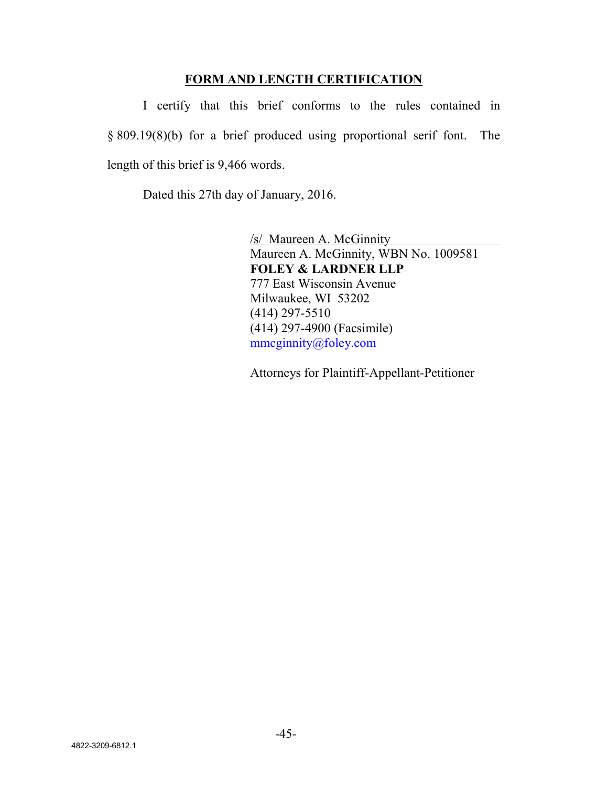## **FORM AND LENGTH CERTIFICATION**

I certify that this brief conforms to the rules contained in § 809.19(8)(b) for a brief produced using proportional serif font. The length of this brief is 9,466 words.

Dated this 27th day of January, 2016.

/s/ Maureen A. McGinnity Maureen A. McGinnity, WBN No. 1009581 **FOLEY & LARDNER LLP** 777 East Wisconsin Avenue Milwaukee, WI 53202 (414) 297-5510 (414) 297-4900 (Facsimile) mmcginnity@foley.com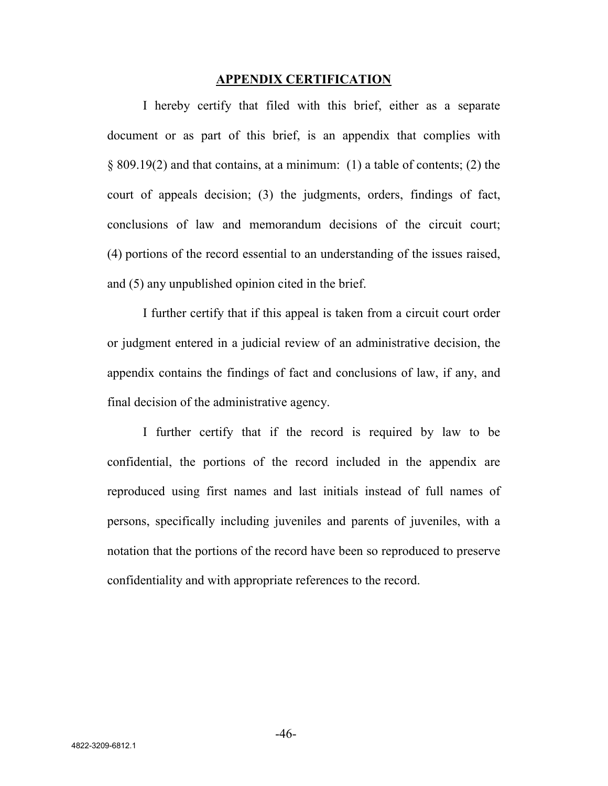#### **APPENDIX CERTIFICATION**

I hereby certify that filed with this brief, either as a separate document or as part of this brief, is an appendix that complies with § 809.19(2) and that contains, at a minimum: (1) a table of contents; (2) the court of appeals decision; (3) the judgments, orders, findings of fact, conclusions of law and memorandum decisions of the circuit court; (4) portions of the record essential to an understanding of the issues raised, and (5) any unpublished opinion cited in the brief.

I further certify that if this appeal is taken from a circuit court order or judgment entered in a judicial review of an administrative decision, the appendix contains the findings of fact and conclusions of law, if any, and final decision of the administrative agency.

I further certify that if the record is required by law to be confidential, the portions of the record included in the appendix are reproduced using first names and last initials instead of full names of persons, specifically including juveniles and parents of juveniles, with a notation that the portions of the record have been so reproduced to preserve confidentiality and with appropriate references to the record.

-46-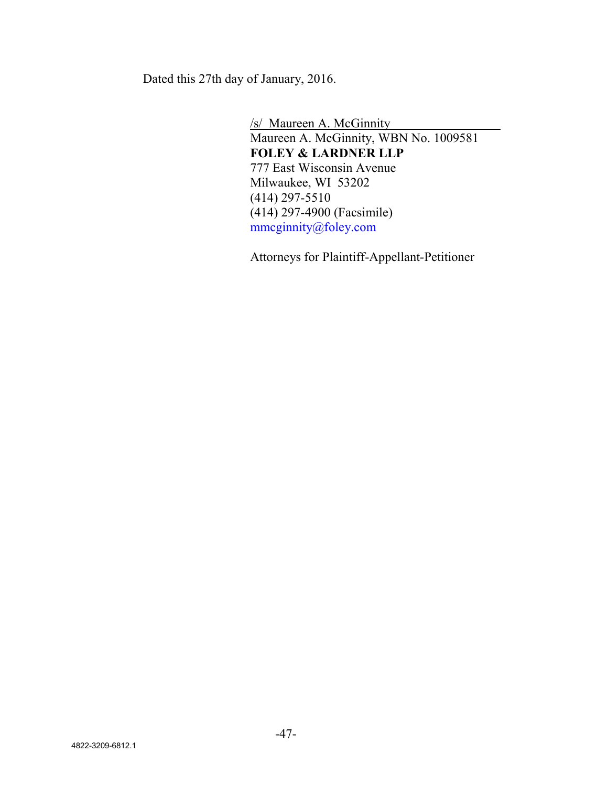Dated this 27th day of January, 2016.

/s/ Maureen A. McGinnity Maureen A. McGinnity, WBN No. 1009581 **FOLEY & LARDNER LLP** 777 East Wisconsin Avenue Milwaukee, WI 53202 (414) 297-5510 (414) 297-4900 (Facsimile) mmcginnity@foley.com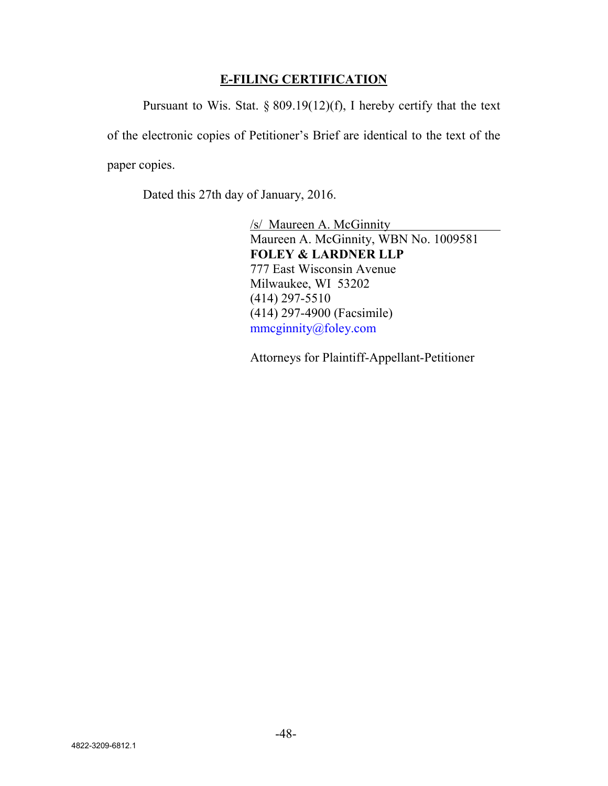# **E-FILING CERTIFICATION**

Pursuant to Wis. Stat.  $\S 809.19(12)(f)$ , I hereby certify that the text of the electronic copies of Petitioner's Brief are identical to the text of the paper copies.

Dated this 27th day of January, 2016.

/s/ Maureen A. McGinnity Maureen A. McGinnity, WBN No. 1009581 **FOLEY & LARDNER LLP** 777 East Wisconsin Avenue Milwaukee, WI 53202 (414) 297-5510 (414) 297-4900 (Facsimile) mmcginnity@foley.com